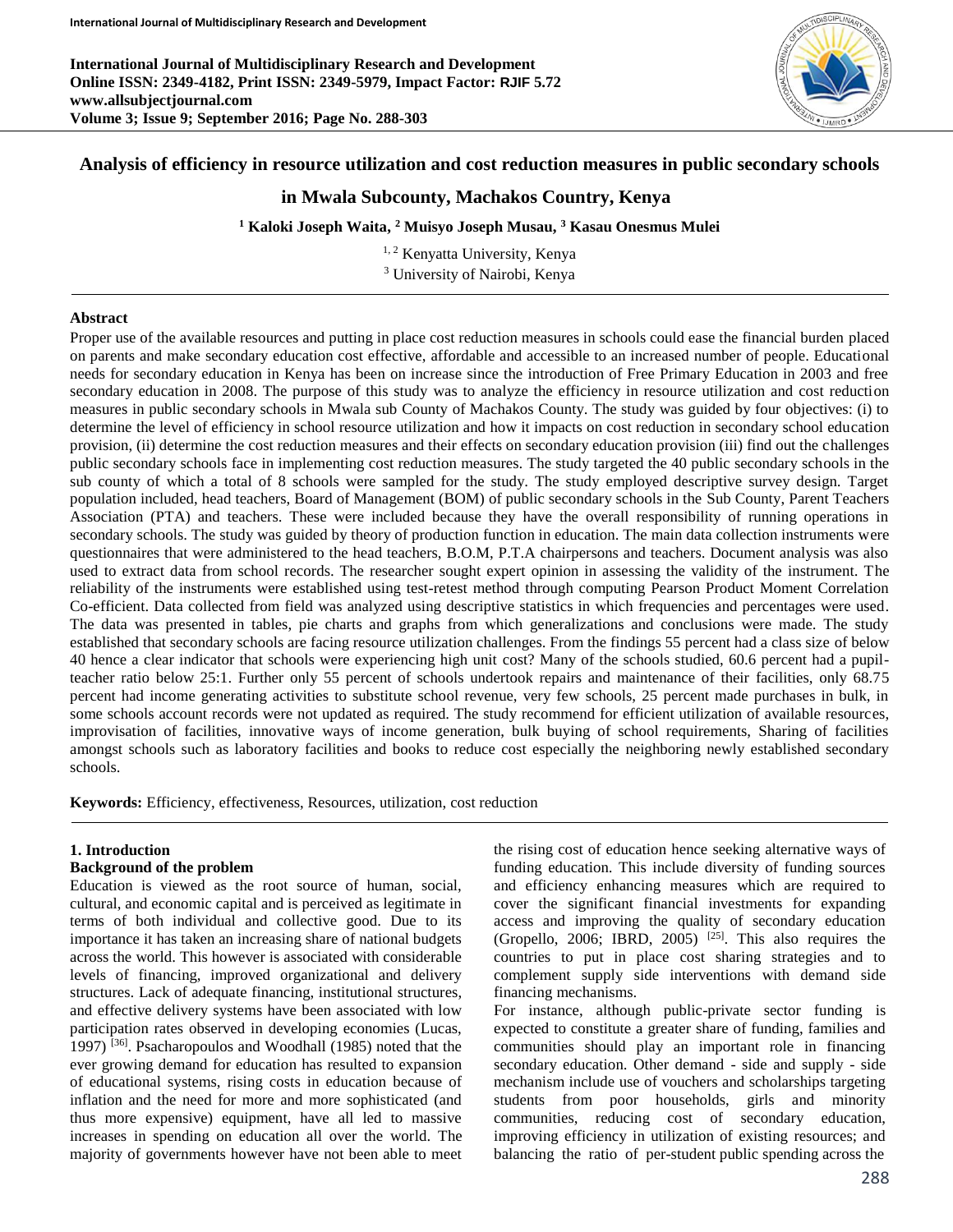**International Journal of Multidisciplinary Research and Development Online ISSN: 2349-4182, Print ISSN: 2349-5979, Impact Factor: RJIF 5.72 www.allsubjectjournal.com Volume 3; Issue 9; September 2016; Page No. 288-303**



# **Analysis of efficiency in resource utilization and cost reduction measures in public secondary schools**

# **in Mwala Subcounty, Machakos Country, Kenya**

**<sup>1</sup> Kaloki Joseph Waita, <sup>2</sup> Muisyo Joseph Musau, <sup>3</sup> Kasau Onesmus Mulei**

<sup>1, 2</sup> Kenyatta University, Kenya <sup>3</sup> University of Nairobi, Kenya

### **Abstract**

Proper use of the available resources and putting in place cost reduction measures in schools could ease the financial burden placed on parents and make secondary education cost effective, affordable and accessible to an increased number of people. Educational needs for secondary education in Kenya has been on increase since the introduction of Free Primary Education in 2003 and free secondary education in 2008. The purpose of this study was to analyze the efficiency in resource utilization and cost reduction measures in public secondary schools in Mwala sub County of Machakos County. The study was guided by four objectives: (i) to determine the level of efficiency in school resource utilization and how it impacts on cost reduction in secondary school education provision, (ii) determine the cost reduction measures and their effects on secondary education provision (iii) find out the challenges public secondary schools face in implementing cost reduction measures. The study targeted the 40 public secondary schools in the sub county of which a total of 8 schools were sampled for the study. The study employed descriptive survey design. Target population included, head teachers, Board of Management (BOM) of public secondary schools in the Sub County, Parent Teachers Association (PTA) and teachers. These were included because they have the overall responsibility of running operations in secondary schools. The study was guided by theory of production function in education. The main data collection instruments were questionnaires that were administered to the head teachers, B.O.M, P.T.A chairpersons and teachers. Document analysis was also used to extract data from school records. The researcher sought expert opinion in assessing the validity of the instrument. The reliability of the instruments were established using test-retest method through computing Pearson Product Moment Correlation Co-efficient. Data collected from field was analyzed using descriptive statistics in which frequencies and percentages were used. The data was presented in tables, pie charts and graphs from which generalizations and conclusions were made. The study established that secondary schools are facing resource utilization challenges. From the findings 55 percent had a class size of below 40 hence a clear indicator that schools were experiencing high unit cost? Many of the schools studied, 60.6 percent had a pupilteacher ratio below 25:1. Further only 55 percent of schools undertook repairs and maintenance of their facilities, only 68.75 percent had income generating activities to substitute school revenue, very few schools, 25 percent made purchases in bulk, in some schools account records were not updated as required. The study recommend for efficient utilization of available resources, improvisation of facilities, innovative ways of income generation, bulk buying of school requirements, Sharing of facilities amongst schools such as laboratory facilities and books to reduce cost especially the neighboring newly established secondary schools.

**Keywords:** Efficiency, effectiveness, Resources, utilization, cost reduction

### **1. Introduction**

### **Background of the problem**

Education is viewed as the root source of human, social, cultural, and economic capital and is perceived as legitimate in terms of both individual and collective good. Due to its importance it has taken an increasing share of national budgets across the world. This however is associated with considerable levels of financing, improved organizational and delivery structures. Lack of adequate financing, institutional structures, and effective delivery systems have been associated with low participation rates observed in developing economies (Lucas, 1997) [36]. Psacharopoulos and Woodhall (1985) noted that the ever growing demand for education has resulted to expansion of educational systems, rising costs in education because of inflation and the need for more and more sophisticated (and thus more expensive) equipment, have all led to massive increases in spending on education all over the world. The majority of governments however have not been able to meet

the rising cost of education hence seeking alternative ways of funding education. This include diversity of funding sources and efficiency enhancing measures which are required to cover the significant financial investments for expanding access and improving the quality of secondary education (Gropello, 2006; IBRD, 2005) <sup>[25]</sup>. This also requires the countries to put in place cost sharing strategies and to complement supply side interventions with demand side financing mechanisms.

For instance, although public-private sector funding is expected to constitute a greater share of funding, families and communities should play an important role in financing secondary education. Other demand - side and supply - side mechanism include use of vouchers and scholarships targeting students from poor households, girls and minority communities, reducing cost of secondary education, improving efficiency in utilization of existing resources; and balancing the ratio of per-student public spending across the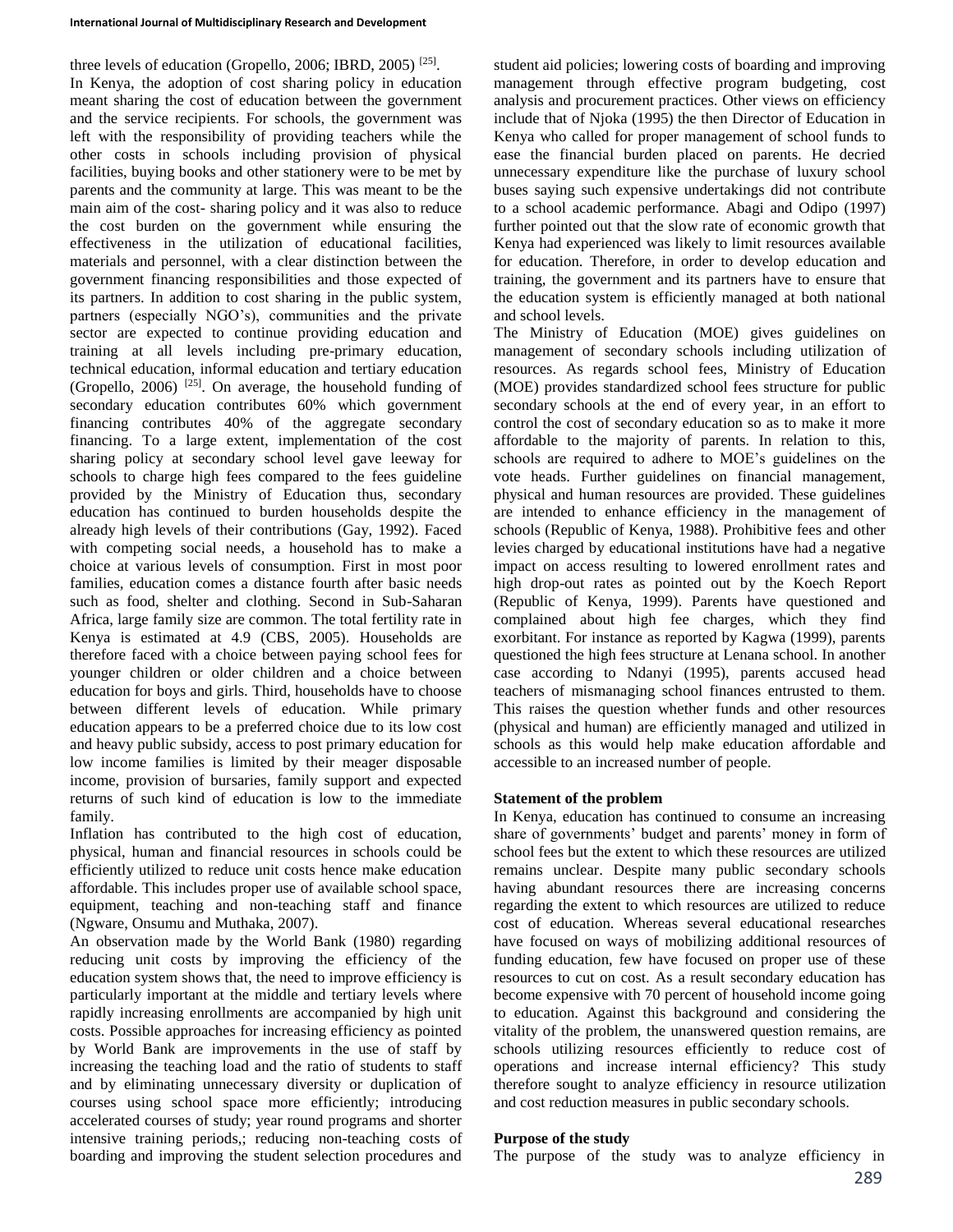three levels of education (Gropello, 2006; IBRD, 2005)<sup>[25]</sup>. In Kenya, the adoption of cost sharing policy in education meant sharing the cost of education between the government and the service recipients. For schools, the government was left with the responsibility of providing teachers while the other costs in schools including provision of physical facilities, buying books and other stationery were to be met by parents and the community at large. This was meant to be the main aim of the cost- sharing policy and it was also to reduce the cost burden on the government while ensuring the effectiveness in the utilization of educational facilities, materials and personnel, with a clear distinction between the government financing responsibilities and those expected of its partners. In addition to cost sharing in the public system, partners (especially NGO's), communities and the private sector are expected to continue providing education and training at all levels including pre-primary education, technical education, informal education and tertiary education (Gropello, 2006) [25]. On average, the household funding of secondary education contributes 60% which government financing contributes 40% of the aggregate secondary financing. To a large extent, implementation of the cost sharing policy at secondary school level gave leeway for schools to charge high fees compared to the fees guideline provided by the Ministry of Education thus, secondary education has continued to burden households despite the already high levels of their contributions (Gay, 1992). Faced with competing social needs, a household has to make a choice at various levels of consumption. First in most poor families, education comes a distance fourth after basic needs such as food, shelter and clothing. Second in Sub-Saharan Africa, large family size are common. The total fertility rate in Kenya is estimated at 4.9 (CBS, 2005). Households are therefore faced with a choice between paying school fees for younger children or older children and a choice between education for boys and girls. Third, households have to choose between different levels of education. While primary education appears to be a preferred choice due to its low cost and heavy public subsidy, access to post primary education for low income families is limited by their meager disposable income, provision of bursaries, family support and expected returns of such kind of education is low to the immediate family.

Inflation has contributed to the high cost of education, physical, human and financial resources in schools could be efficiently utilized to reduce unit costs hence make education affordable. This includes proper use of available school space, equipment, teaching and non-teaching staff and finance (Ngware, Onsumu and Muthaka, 2007).

An observation made by the World Bank (1980) regarding reducing unit costs by improving the efficiency of the education system shows that, the need to improve efficiency is particularly important at the middle and tertiary levels where rapidly increasing enrollments are accompanied by high unit costs. Possible approaches for increasing efficiency as pointed by World Bank are improvements in the use of staff by increasing the teaching load and the ratio of students to staff and by eliminating unnecessary diversity or duplication of courses using school space more efficiently; introducing accelerated courses of study; year round programs and shorter intensive training periods,; reducing non-teaching costs of boarding and improving the student selection procedures and student aid policies; lowering costs of boarding and improving management through effective program budgeting, cost analysis and procurement practices. Other views on efficiency include that of Njoka (1995) the then Director of Education in Kenya who called for proper management of school funds to ease the financial burden placed on parents. He decried unnecessary expenditure like the purchase of luxury school buses saying such expensive undertakings did not contribute to a school academic performance. Abagi and Odipo (1997) further pointed out that the slow rate of economic growth that Kenya had experienced was likely to limit resources available for education. Therefore, in order to develop education and training, the government and its partners have to ensure that the education system is efficiently managed at both national and school levels.

The Ministry of Education (MOE) gives guidelines on management of secondary schools including utilization of resources. As regards school fees, Ministry of Education (MOE) provides standardized school fees structure for public secondary schools at the end of every year, in an effort to control the cost of secondary education so as to make it more affordable to the majority of parents. In relation to this, schools are required to adhere to MOE's guidelines on the vote heads. Further guidelines on financial management, physical and human resources are provided. These guidelines are intended to enhance efficiency in the management of schools (Republic of Kenya, 1988). Prohibitive fees and other levies charged by educational institutions have had a negative impact on access resulting to lowered enrollment rates and high drop-out rates as pointed out by the Koech Report (Republic of Kenya, 1999). Parents have questioned and complained about high fee charges, which they find exorbitant. For instance as reported by Kagwa (1999), parents questioned the high fees structure at Lenana school. In another case according to Ndanyi (1995), parents accused head teachers of mismanaging school finances entrusted to them. This raises the question whether funds and other resources (physical and human) are efficiently managed and utilized in schools as this would help make education affordable and accessible to an increased number of people.

# **Statement of the problem**

In Kenya, education has continued to consume an increasing share of governments' budget and parents' money in form of school fees but the extent to which these resources are utilized remains unclear. Despite many public secondary schools having abundant resources there are increasing concerns regarding the extent to which resources are utilized to reduce cost of education. Whereas several educational researches have focused on ways of mobilizing additional resources of funding education, few have focused on proper use of these resources to cut on cost. As a result secondary education has become expensive with 70 percent of household income going to education. Against this background and considering the vitality of the problem, the unanswered question remains, are schools utilizing resources efficiently to reduce cost of operations and increase internal efficiency? This study therefore sought to analyze efficiency in resource utilization and cost reduction measures in public secondary schools.

# **Purpose of the study**

The purpose of the study was to analyze efficiency in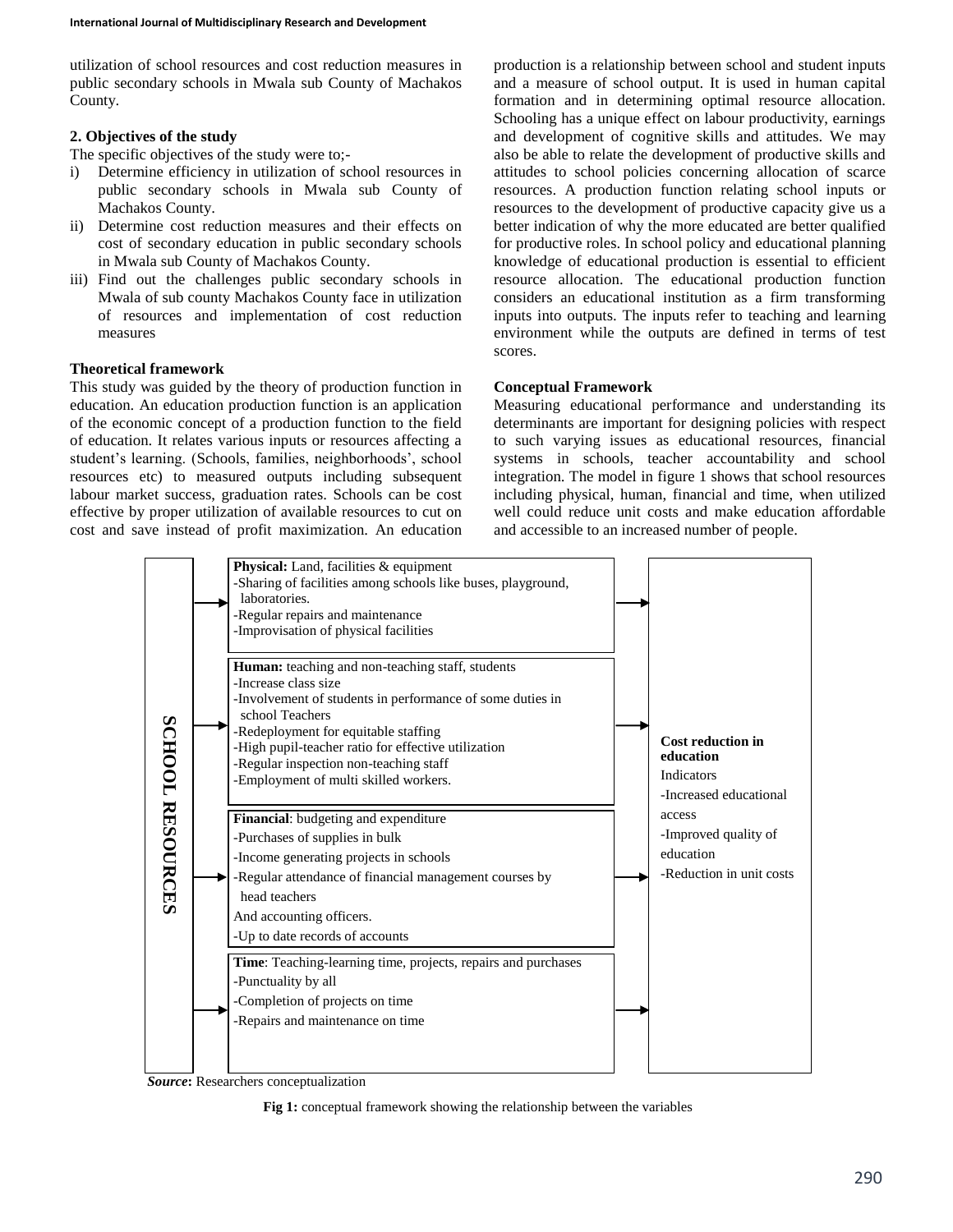utilization of school resources and cost reduction measures in public secondary schools in Mwala sub County of Machakos County.

# **2. Objectives of the study**

The specific objectives of the study were to;-

- i) Determine efficiency in utilization of school resources in public secondary schools in Mwala sub County of Machakos County.
- ii) Determine cost reduction measures and their effects on cost of secondary education in public secondary schools in Mwala sub County of Machakos County.
- iii) Find out the challenges public secondary schools in Mwala of sub county Machakos County face in utilization of resources and implementation of cost reduction measures

# **Theoretical framework**

This study was guided by the theory of production function in education. An education production function is an application of the economic concept of a production function to the field of education. It relates various inputs or resources affecting a student's learning. (Schools, families, neighborhoods', school resources etc) to measured outputs including subsequent labour market success, graduation rates. Schools can be cost effective by proper utilization of available resources to cut on cost and save instead of profit maximization. An education production is a relationship between school and student inputs and a measure of school output. It is used in human capital formation and in determining optimal resource allocation. Schooling has a unique effect on labour productivity, earnings and development of cognitive skills and attitudes. We may also be able to relate the development of productive skills and attitudes to school policies concerning allocation of scarce resources. A production function relating school inputs or resources to the development of productive capacity give us a better indication of why the more educated are better qualified for productive roles. In school policy and educational planning knowledge of educational production is essential to efficient resource allocation. The educational production function considers an educational institution as a firm transforming inputs into outputs. The inputs refer to teaching and learning environment while the outputs are defined in terms of test scores.

# **Conceptual Framework**

Measuring educational performance and understanding its determinants are important for designing policies with respect to such varying issues as educational resources, financial systems in schools, teacher accountability and school integration. The model in figure 1 shows that school resources including physical, human, financial and time, when utilized well could reduce unit costs and make education affordable and accessible to an increased number of people.



*Source***:** Researchers conceptualization

**Fig 1:** conceptual framework showing the relationship between the variables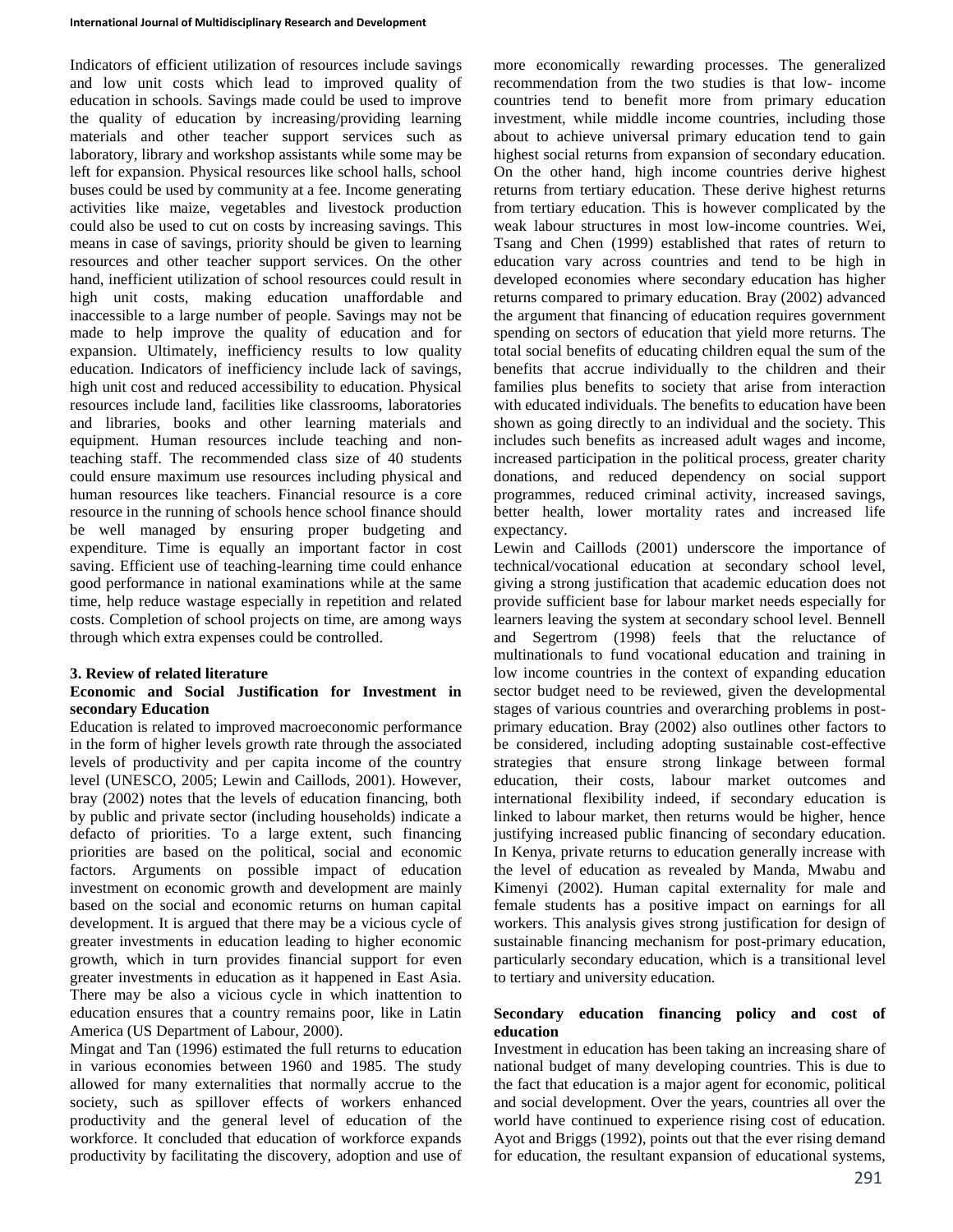Indicators of efficient utilization of resources include savings and low unit costs which lead to improved quality of education in schools. Savings made could be used to improve the quality of education by increasing/providing learning materials and other teacher support services such as laboratory, library and workshop assistants while some may be left for expansion. Physical resources like school halls, school buses could be used by community at a fee. Income generating activities like maize, vegetables and livestock production could also be used to cut on costs by increasing savings. This means in case of savings, priority should be given to learning resources and other teacher support services. On the other hand, inefficient utilization of school resources could result in high unit costs, making education unaffordable and inaccessible to a large number of people. Savings may not be made to help improve the quality of education and for expansion. Ultimately, inefficiency results to low quality education. Indicators of inefficiency include lack of savings, high unit cost and reduced accessibility to education. Physical resources include land, facilities like classrooms, laboratories and libraries, books and other learning materials and equipment. Human resources include teaching and nonteaching staff. The recommended class size of 40 students could ensure maximum use resources including physical and human resources like teachers. Financial resource is a core resource in the running of schools hence school finance should be well managed by ensuring proper budgeting and expenditure. Time is equally an important factor in cost saving. Efficient use of teaching-learning time could enhance good performance in national examinations while at the same time, help reduce wastage especially in repetition and related costs. Completion of school projects on time, are among ways through which extra expenses could be controlled.

## **3. Review of related literature**

# **Economic and Social Justification for Investment in secondary Education**

Education is related to improved macroeconomic performance in the form of higher levels growth rate through the associated levels of productivity and per capita income of the country level (UNESCO, 2005; Lewin and Caillods, 2001). However, bray (2002) notes that the levels of education financing, both by public and private sector (including households) indicate a defacto of priorities. To a large extent, such financing priorities are based on the political, social and economic factors. Arguments on possible impact of education investment on economic growth and development are mainly based on the social and economic returns on human capital development. It is argued that there may be a vicious cycle of greater investments in education leading to higher economic growth, which in turn provides financial support for even greater investments in education as it happened in East Asia. There may be also a vicious cycle in which inattention to education ensures that a country remains poor, like in Latin America (US Department of Labour, 2000).

Mingat and Tan (1996) estimated the full returns to education in various economies between 1960 and 1985. The study allowed for many externalities that normally accrue to the society, such as spillover effects of workers enhanced productivity and the general level of education of the workforce. It concluded that education of workforce expands productivity by facilitating the discovery, adoption and use of

more economically rewarding processes. The generalized recommendation from the two studies is that low- income countries tend to benefit more from primary education investment, while middle income countries, including those about to achieve universal primary education tend to gain highest social returns from expansion of secondary education. On the other hand, high income countries derive highest returns from tertiary education. These derive highest returns from tertiary education. This is however complicated by the weak labour structures in most low-income countries. Wei, Tsang and Chen (1999) established that rates of return to education vary across countries and tend to be high in developed economies where secondary education has higher returns compared to primary education. Bray (2002) advanced the argument that financing of education requires government spending on sectors of education that yield more returns. The total social benefits of educating children equal the sum of the benefits that accrue individually to the children and their families plus benefits to society that arise from interaction with educated individuals. The benefits to education have been shown as going directly to an individual and the society. This includes such benefits as increased adult wages and income, increased participation in the political process, greater charity donations, and reduced dependency on social support programmes, reduced criminal activity, increased savings, better health, lower mortality rates and increased life expectancy.

Lewin and Caillods (2001) underscore the importance of technical/vocational education at secondary school level, giving a strong justification that academic education does not provide sufficient base for labour market needs especially for learners leaving the system at secondary school level. Bennell and Segertrom (1998) feels that the reluctance of multinationals to fund vocational education and training in low income countries in the context of expanding education sector budget need to be reviewed, given the developmental stages of various countries and overarching problems in postprimary education. Bray (2002) also outlines other factors to be considered, including adopting sustainable cost-effective strategies that ensure strong linkage between formal education, their costs, labour market outcomes and international flexibility indeed, if secondary education is linked to labour market, then returns would be higher, hence justifying increased public financing of secondary education. In Kenya, private returns to education generally increase with the level of education as revealed by Manda, Mwabu and Kimenyi (2002). Human capital externality for male and female students has a positive impact on earnings for all workers. This analysis gives strong justification for design of sustainable financing mechanism for post-primary education, particularly secondary education, which is a transitional level to tertiary and university education.

# **Secondary education financing policy and cost of education**

Investment in education has been taking an increasing share of national budget of many developing countries. This is due to the fact that education is a major agent for economic, political and social development. Over the years, countries all over the world have continued to experience rising cost of education. Ayot and Briggs (1992), points out that the ever rising demand for education, the resultant expansion of educational systems,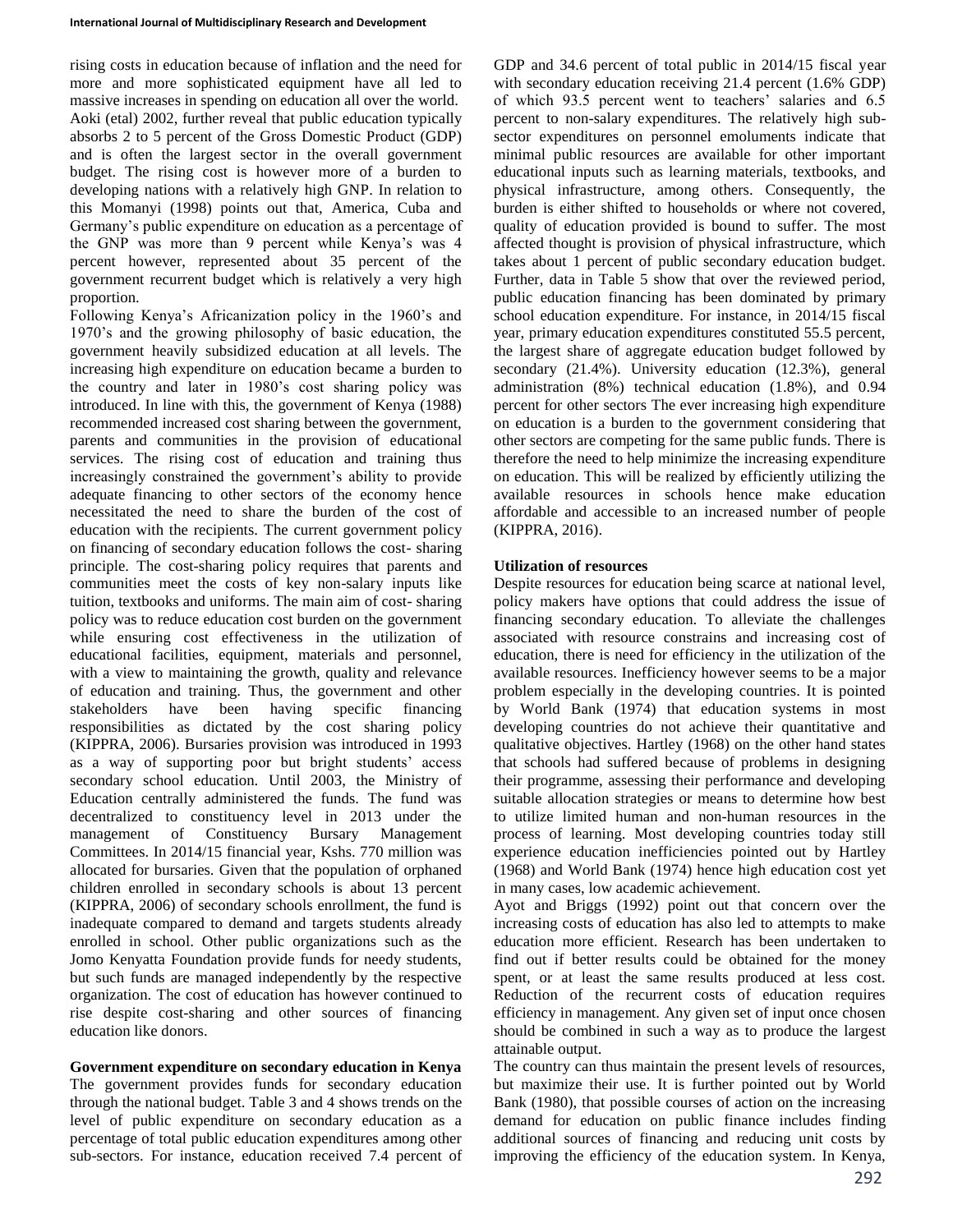rising costs in education because of inflation and the need for more and more sophisticated equipment have all led to massive increases in spending on education all over the world. Aoki (etal) 2002, further reveal that public education typically absorbs 2 to 5 percent of the Gross Domestic Product (GDP) and is often the largest sector in the overall government budget. The rising cost is however more of a burden to developing nations with a relatively high GNP. In relation to this Momanyi (1998) points out that, America, Cuba and Germany's public expenditure on education as a percentage of the GNP was more than 9 percent while Kenya's was 4 percent however, represented about 35 percent of the government recurrent budget which is relatively a very high proportion.

Following Kenya's Africanization policy in the 1960's and 1970's and the growing philosophy of basic education, the government heavily subsidized education at all levels. The increasing high expenditure on education became a burden to the country and later in 1980's cost sharing policy was introduced. In line with this, the government of Kenya (1988) recommended increased cost sharing between the government, parents and communities in the provision of educational services. The rising cost of education and training thus increasingly constrained the government's ability to provide adequate financing to other sectors of the economy hence necessitated the need to share the burden of the cost of education with the recipients. The current government policy on financing of secondary education follows the cost- sharing principle. The cost-sharing policy requires that parents and communities meet the costs of key non-salary inputs like tuition, textbooks and uniforms. The main aim of cost- sharing policy was to reduce education cost burden on the government while ensuring cost effectiveness in the utilization of educational facilities, equipment, materials and personnel, with a view to maintaining the growth, quality and relevance of education and training. Thus, the government and other stakeholders have been having specific financing responsibilities as dictated by the cost sharing policy (KIPPRA, 2006). Bursaries provision was introduced in 1993 as a way of supporting poor but bright students' access secondary school education. Until 2003, the Ministry of Education centrally administered the funds. The fund was decentralized to constituency level in 2013 under the management of Constituency Bursary Management Committees. In 2014/15 financial year, Kshs. 770 million was allocated for bursaries. Given that the population of orphaned children enrolled in secondary schools is about 13 percent (KIPPRA, 2006) of secondary schools enrollment, the fund is inadequate compared to demand and targets students already enrolled in school. Other public organizations such as the Jomo Kenyatta Foundation provide funds for needy students, but such funds are managed independently by the respective organization. The cost of education has however continued to rise despite cost-sharing and other sources of financing education like donors.

## **Government expenditure on secondary education in Kenya**

The government provides funds for secondary education through the national budget. Table 3 and 4 shows trends on the level of public expenditure on secondary education as a percentage of total public education expenditures among other sub-sectors. For instance, education received 7.4 percent of GDP and 34.6 percent of total public in 2014/15 fiscal year with secondary education receiving 21.4 percent (1.6% GDP) of which 93.5 percent went to teachers' salaries and 6.5 percent to non-salary expenditures. The relatively high subsector expenditures on personnel emoluments indicate that minimal public resources are available for other important educational inputs such as learning materials, textbooks, and physical infrastructure, among others. Consequently, the burden is either shifted to households or where not covered, quality of education provided is bound to suffer. The most affected thought is provision of physical infrastructure, which takes about 1 percent of public secondary education budget. Further, data in Table 5 show that over the reviewed period, public education financing has been dominated by primary school education expenditure. For instance, in 2014/15 fiscal year, primary education expenditures constituted 55.5 percent, the largest share of aggregate education budget followed by secondary (21.4%). University education (12.3%), general administration (8%) technical education (1.8%), and 0.94 percent for other sectors The ever increasing high expenditure on education is a burden to the government considering that other sectors are competing for the same public funds. There is therefore the need to help minimize the increasing expenditure on education. This will be realized by efficiently utilizing the available resources in schools hence make education affordable and accessible to an increased number of people (KIPPRA, 2016).

# **Utilization of resources**

Despite resources for education being scarce at national level, policy makers have options that could address the issue of financing secondary education. To alleviate the challenges associated with resource constrains and increasing cost of education, there is need for efficiency in the utilization of the available resources. Inefficiency however seems to be a major problem especially in the developing countries. It is pointed by World Bank (1974) that education systems in most developing countries do not achieve their quantitative and qualitative objectives. Hartley (1968) on the other hand states that schools had suffered because of problems in designing their programme, assessing their performance and developing suitable allocation strategies or means to determine how best to utilize limited human and non-human resources in the process of learning. Most developing countries today still experience education inefficiencies pointed out by Hartley (1968) and World Bank (1974) hence high education cost yet in many cases, low academic achievement.

Ayot and Briggs (1992) point out that concern over the increasing costs of education has also led to attempts to make education more efficient. Research has been undertaken to find out if better results could be obtained for the money spent, or at least the same results produced at less cost. Reduction of the recurrent costs of education requires efficiency in management. Any given set of input once chosen should be combined in such a way as to produce the largest attainable output.

The country can thus maintain the present levels of resources, but maximize their use. It is further pointed out by World Bank (1980), that possible courses of action on the increasing demand for education on public finance includes finding additional sources of financing and reducing unit costs by improving the efficiency of the education system. In Kenya,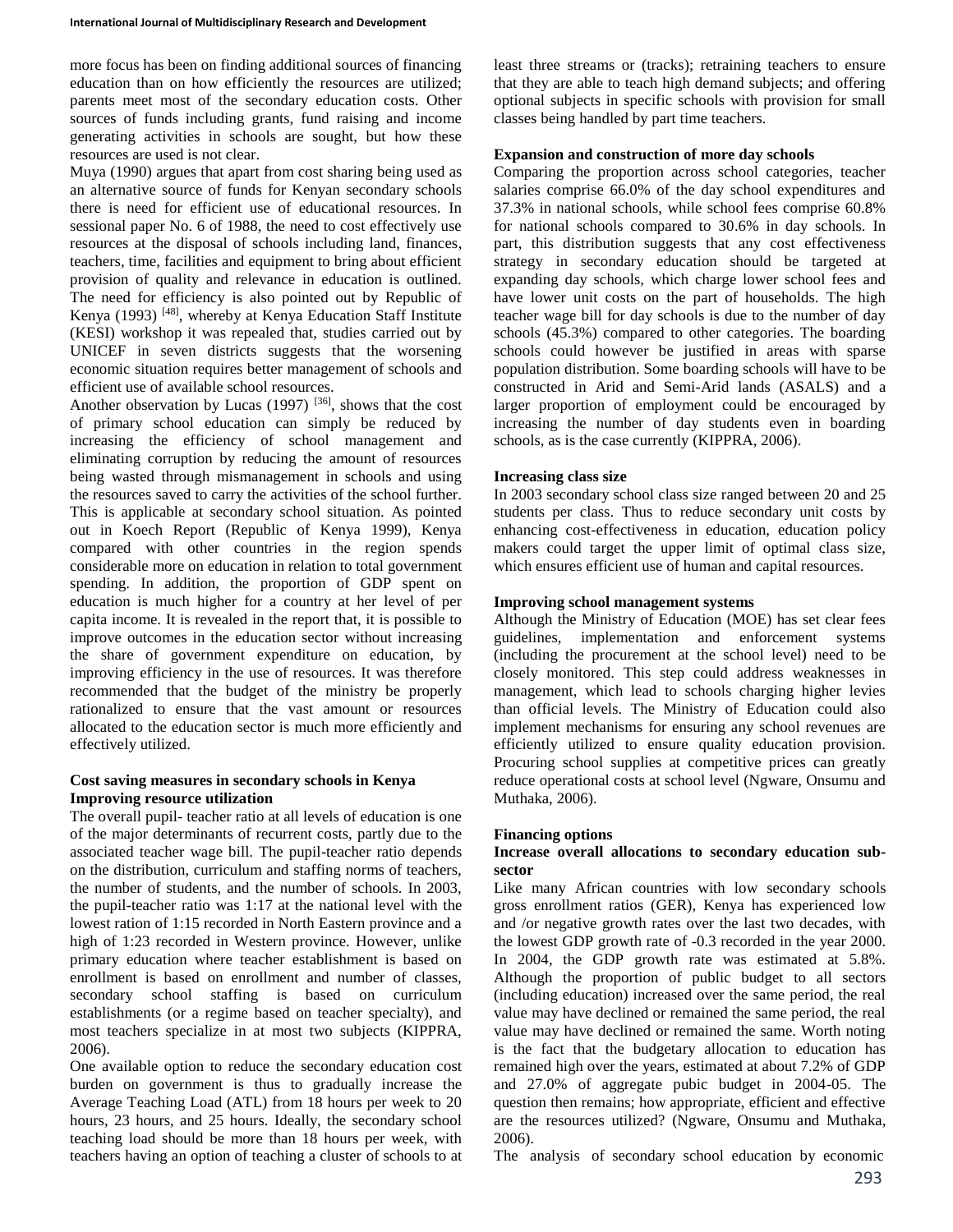more focus has been on finding additional sources of financing education than on how efficiently the resources are utilized; parents meet most of the secondary education costs. Other sources of funds including grants, fund raising and income generating activities in schools are sought, but how these resources are used is not clear.

Muya (1990) argues that apart from cost sharing being used as an alternative source of funds for Kenyan secondary schools there is need for efficient use of educational resources. In sessional paper No. 6 of 1988, the need to cost effectively use resources at the disposal of schools including land, finances, teachers, time, facilities and equipment to bring about efficient provision of quality and relevance in education is outlined. The need for efficiency is also pointed out by Republic of Kenya (1993) <sup>[48]</sup>, whereby at Kenya Education Staff Institute (KESI) workshop it was repealed that, studies carried out by UNICEF in seven districts suggests that the worsening economic situation requires better management of schools and efficient use of available school resources.

Another observation by Lucas  $(1997)$  <sup>[36]</sup>, shows that the cost of primary school education can simply be reduced by increasing the efficiency of school management and eliminating corruption by reducing the amount of resources being wasted through mismanagement in schools and using the resources saved to carry the activities of the school further. This is applicable at secondary school situation. As pointed out in Koech Report (Republic of Kenya 1999), Kenya compared with other countries in the region spends considerable more on education in relation to total government spending. In addition, the proportion of GDP spent on education is much higher for a country at her level of per capita income. It is revealed in the report that, it is possible to improve outcomes in the education sector without increasing the share of government expenditure on education, by improving efficiency in the use of resources. It was therefore recommended that the budget of the ministry be properly rationalized to ensure that the vast amount or resources allocated to the education sector is much more efficiently and effectively utilized.

## **Cost saving measures in secondary schools in Kenya Improving resource utilization**

The overall pupil- teacher ratio at all levels of education is one of the major determinants of recurrent costs, partly due to the associated teacher wage bill. The pupil-teacher ratio depends on the distribution, curriculum and staffing norms of teachers, the number of students, and the number of schools. In 2003, the pupil-teacher ratio was 1:17 at the national level with the lowest ration of 1:15 recorded in North Eastern province and a high of 1:23 recorded in Western province. However, unlike primary education where teacher establishment is based on enrollment is based on enrollment and number of classes, secondary school staffing is based on curriculum establishments (or a regime based on teacher specialty), and most teachers specialize in at most two subjects (KIPPRA, 2006).

One available option to reduce the secondary education cost burden on government is thus to gradually increase the Average Teaching Load (ATL) from 18 hours per week to 20 hours, 23 hours, and 25 hours. Ideally, the secondary school teaching load should be more than 18 hours per week, with teachers having an option of teaching a cluster of schools to at least three streams or (tracks); retraining teachers to ensure that they are able to teach high demand subjects; and offering optional subjects in specific schools with provision for small classes being handled by part time teachers.

# **Expansion and construction of more day schools**

Comparing the proportion across school categories, teacher salaries comprise 66.0% of the day school expenditures and 37.3% in national schools, while school fees comprise 60.8% for national schools compared to 30.6% in day schools. In part, this distribution suggests that any cost effectiveness strategy in secondary education should be targeted at expanding day schools, which charge lower school fees and have lower unit costs on the part of households. The high teacher wage bill for day schools is due to the number of day schools (45.3%) compared to other categories. The boarding schools could however be justified in areas with sparse population distribution. Some boarding schools will have to be constructed in Arid and Semi-Arid lands (ASALS) and a larger proportion of employment could be encouraged by increasing the number of day students even in boarding schools, as is the case currently (KIPPRA, 2006).

## **Increasing class size**

In 2003 secondary school class size ranged between 20 and 25 students per class. Thus to reduce secondary unit costs by enhancing cost-effectiveness in education, education policy makers could target the upper limit of optimal class size, which ensures efficient use of human and capital resources.

## **Improving school management systems**

Although the Ministry of Education (MOE) has set clear fees guidelines, implementation and enforcement systems (including the procurement at the school level) need to be closely monitored. This step could address weaknesses in management, which lead to schools charging higher levies than official levels. The Ministry of Education could also implement mechanisms for ensuring any school revenues are efficiently utilized to ensure quality education provision. Procuring school supplies at competitive prices can greatly reduce operational costs at school level (Ngware, Onsumu and Muthaka, 2006).

## **Financing options**

# **Increase overall allocations to secondary education subsector**

Like many African countries with low secondary schools gross enrollment ratios (GER), Kenya has experienced low and /or negative growth rates over the last two decades, with the lowest GDP growth rate of -0.3 recorded in the year 2000. In 2004, the GDP growth rate was estimated at 5.8%. Although the proportion of public budget to all sectors (including education) increased over the same period, the real value may have declined or remained the same period, the real value may have declined or remained the same. Worth noting is the fact that the budgetary allocation to education has remained high over the years, estimated at about 7.2% of GDP and 27.0% of aggregate pubic budget in 2004-05. The question then remains; how appropriate, efficient and effective are the resources utilized? (Ngware, Onsumu and Muthaka, 2006).

The analysis of secondary school education by economic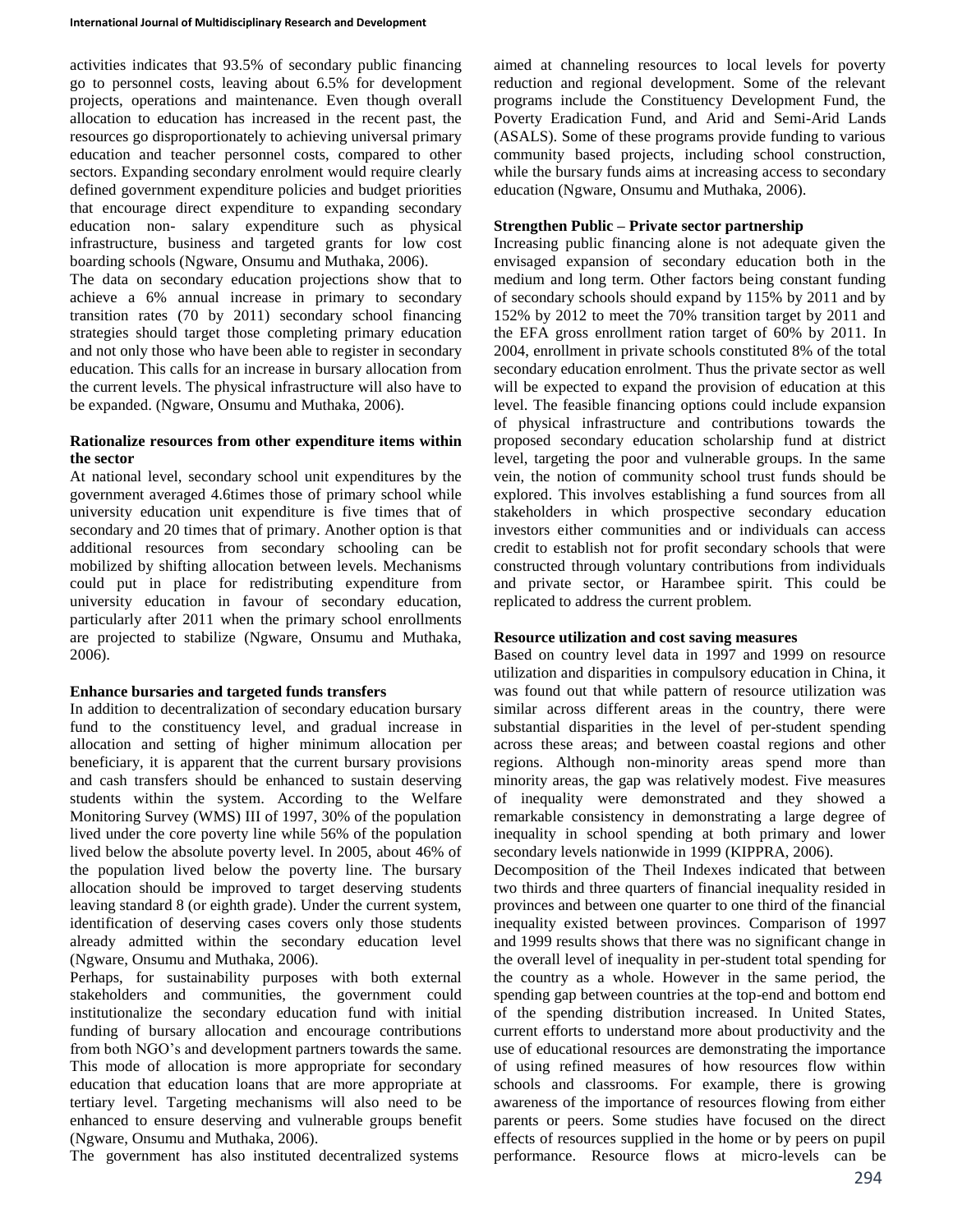activities indicates that 93.5% of secondary public financing go to personnel costs, leaving about 6.5% for development projects, operations and maintenance. Even though overall allocation to education has increased in the recent past, the resources go disproportionately to achieving universal primary education and teacher personnel costs, compared to other sectors. Expanding secondary enrolment would require clearly defined government expenditure policies and budget priorities that encourage direct expenditure to expanding secondary education non- salary expenditure such as physical infrastructure, business and targeted grants for low cost boarding schools (Ngware, Onsumu and Muthaka, 2006).

The data on secondary education projections show that to achieve a 6% annual increase in primary to secondary transition rates (70 by 2011) secondary school financing strategies should target those completing primary education and not only those who have been able to register in secondary education. This calls for an increase in bursary allocation from the current levels. The physical infrastructure will also have to be expanded. (Ngware, Onsumu and Muthaka, 2006).

# **Rationalize resources from other expenditure items within the sector**

At national level, secondary school unit expenditures by the government averaged 4.6times those of primary school while university education unit expenditure is five times that of secondary and 20 times that of primary. Another option is that additional resources from secondary schooling can be mobilized by shifting allocation between levels. Mechanisms could put in place for redistributing expenditure from university education in favour of secondary education, particularly after 2011 when the primary school enrollments are projected to stabilize (Ngware, Onsumu and Muthaka, 2006).

# **Enhance bursaries and targeted funds transfers**

In addition to decentralization of secondary education bursary fund to the constituency level, and gradual increase in allocation and setting of higher minimum allocation per beneficiary, it is apparent that the current bursary provisions and cash transfers should be enhanced to sustain deserving students within the system. According to the Welfare Monitoring Survey (WMS) III of 1997, 30% of the population lived under the core poverty line while 56% of the population lived below the absolute poverty level. In 2005, about 46% of the population lived below the poverty line. The bursary allocation should be improved to target deserving students leaving standard 8 (or eighth grade). Under the current system, identification of deserving cases covers only those students already admitted within the secondary education level (Ngware, Onsumu and Muthaka, 2006).

Perhaps, for sustainability purposes with both external stakeholders and communities, the government could institutionalize the secondary education fund with initial funding of bursary allocation and encourage contributions from both NGO's and development partners towards the same. This mode of allocation is more appropriate for secondary education that education loans that are more appropriate at tertiary level. Targeting mechanisms will also need to be enhanced to ensure deserving and vulnerable groups benefit (Ngware, Onsumu and Muthaka, 2006).

The government has also instituted decentralized systems

aimed at channeling resources to local levels for poverty reduction and regional development. Some of the relevant programs include the Constituency Development Fund, the Poverty Eradication Fund, and Arid and Semi-Arid Lands (ASALS). Some of these programs provide funding to various community based projects, including school construction, while the bursary funds aims at increasing access to secondary education (Ngware, Onsumu and Muthaka, 2006).

# **Strengthen Public – Private sector partnership**

Increasing public financing alone is not adequate given the envisaged expansion of secondary education both in the medium and long term. Other factors being constant funding of secondary schools should expand by 115% by 2011 and by 152% by 2012 to meet the 70% transition target by 2011 and the EFA gross enrollment ration target of 60% by 2011. In 2004, enrollment in private schools constituted 8% of the total secondary education enrolment. Thus the private sector as well will be expected to expand the provision of education at this level. The feasible financing options could include expansion of physical infrastructure and contributions towards the proposed secondary education scholarship fund at district level, targeting the poor and vulnerable groups. In the same vein, the notion of community school trust funds should be explored. This involves establishing a fund sources from all stakeholders in which prospective secondary education investors either communities and or individuals can access credit to establish not for profit secondary schools that were constructed through voluntary contributions from individuals and private sector, or Harambee spirit. This could be replicated to address the current problem.

# **Resource utilization and cost saving measures**

Based on country level data in 1997 and 1999 on resource utilization and disparities in compulsory education in China, it was found out that while pattern of resource utilization was similar across different areas in the country, there were substantial disparities in the level of per-student spending across these areas; and between coastal regions and other regions. Although non-minority areas spend more than minority areas, the gap was relatively modest. Five measures of inequality were demonstrated and they showed a remarkable consistency in demonstrating a large degree of inequality in school spending at both primary and lower secondary levels nationwide in 1999 (KIPPRA, 2006).

Decomposition of the Theil Indexes indicated that between two thirds and three quarters of financial inequality resided in provinces and between one quarter to one third of the financial inequality existed between provinces. Comparison of 1997 and 1999 results shows that there was no significant change in the overall level of inequality in per-student total spending for the country as a whole. However in the same period, the spending gap between countries at the top-end and bottom end of the spending distribution increased. In United States, current efforts to understand more about productivity and the use of educational resources are demonstrating the importance of using refined measures of how resources flow within schools and classrooms. For example, there is growing awareness of the importance of resources flowing from either parents or peers. Some studies have focused on the direct effects of resources supplied in the home or by peers on pupil performance. Resource flows at micro-levels can be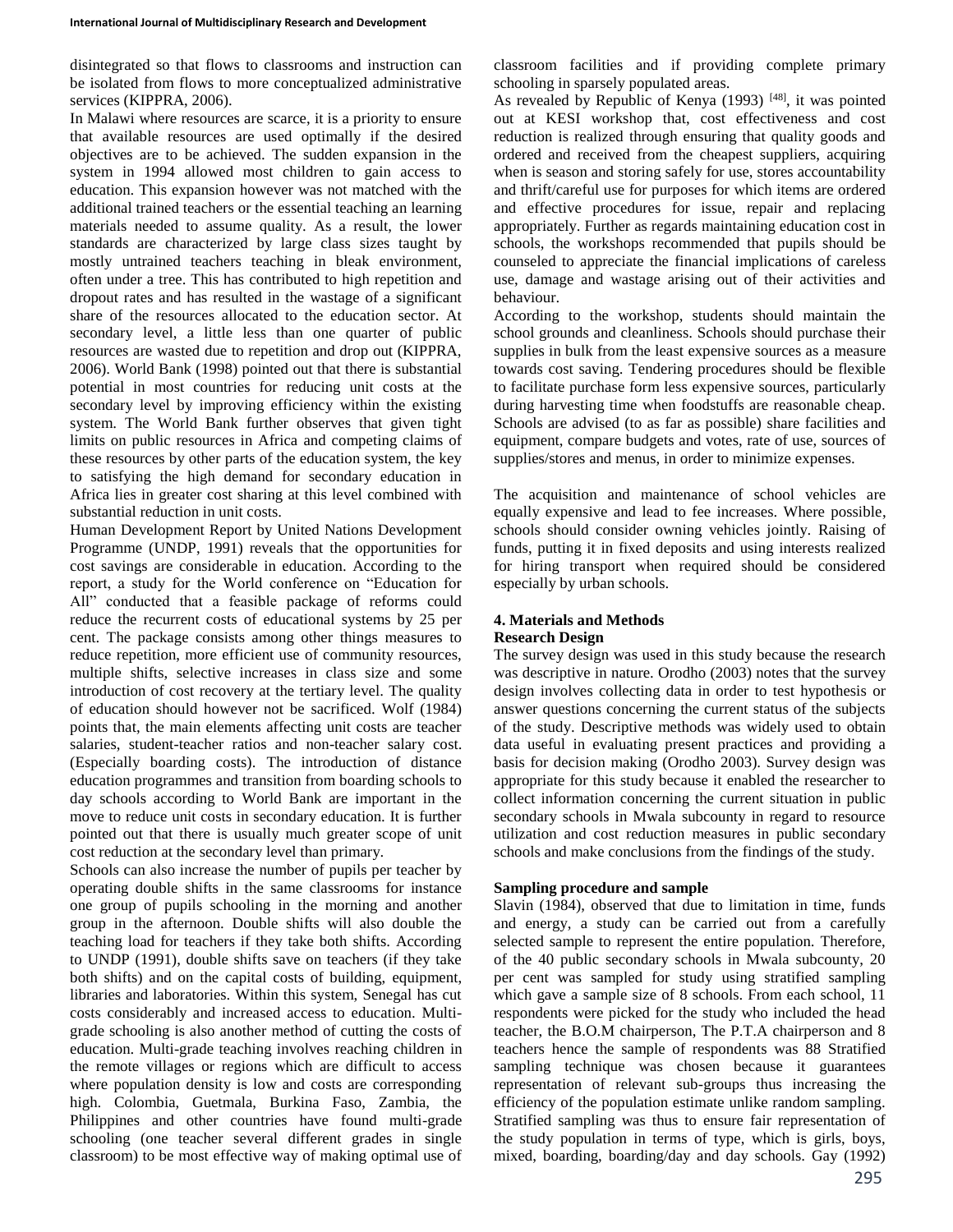disintegrated so that flows to classrooms and instruction can be isolated from flows to more conceptualized administrative services (KIPPRA, 2006).

In Malawi where resources are scarce, it is a priority to ensure that available resources are used optimally if the desired objectives are to be achieved. The sudden expansion in the system in 1994 allowed most children to gain access to education. This expansion however was not matched with the additional trained teachers or the essential teaching an learning materials needed to assume quality. As a result, the lower standards are characterized by large class sizes taught by mostly untrained teachers teaching in bleak environment, often under a tree. This has contributed to high repetition and dropout rates and has resulted in the wastage of a significant share of the resources allocated to the education sector. At secondary level, a little less than one quarter of public resources are wasted due to repetition and drop out (KIPPRA, 2006). World Bank (1998) pointed out that there is substantial potential in most countries for reducing unit costs at the secondary level by improving efficiency within the existing system. The World Bank further observes that given tight limits on public resources in Africa and competing claims of these resources by other parts of the education system, the key to satisfying the high demand for secondary education in Africa lies in greater cost sharing at this level combined with substantial reduction in unit costs.

Human Development Report by United Nations Development Programme (UNDP, 1991) reveals that the opportunities for cost savings are considerable in education. According to the report, a study for the World conference on "Education for All" conducted that a feasible package of reforms could reduce the recurrent costs of educational systems by 25 per cent. The package consists among other things measures to reduce repetition, more efficient use of community resources, multiple shifts, selective increases in class size and some introduction of cost recovery at the tertiary level. The quality of education should however not be sacrificed. Wolf (1984) points that, the main elements affecting unit costs are teacher salaries, student-teacher ratios and non-teacher salary cost. (Especially boarding costs). The introduction of distance education programmes and transition from boarding schools to day schools according to World Bank are important in the move to reduce unit costs in secondary education. It is further pointed out that there is usually much greater scope of unit cost reduction at the secondary level than primary.

Schools can also increase the number of pupils per teacher by operating double shifts in the same classrooms for instance one group of pupils schooling in the morning and another group in the afternoon. Double shifts will also double the teaching load for teachers if they take both shifts. According to UNDP (1991), double shifts save on teachers (if they take both shifts) and on the capital costs of building, equipment, libraries and laboratories. Within this system, Senegal has cut costs considerably and increased access to education. Multigrade schooling is also another method of cutting the costs of education. Multi-grade teaching involves reaching children in the remote villages or regions which are difficult to access where population density is low and costs are corresponding high. Colombia, Guetmala, Burkina Faso, Zambia, the Philippines and other countries have found multi-grade schooling (one teacher several different grades in single classroom) to be most effective way of making optimal use of classroom facilities and if providing complete primary schooling in sparsely populated areas.

As revealed by Republic of Kenya (1993)<sup>[48]</sup>, it was pointed out at KESI workshop that, cost effectiveness and cost reduction is realized through ensuring that quality goods and ordered and received from the cheapest suppliers, acquiring when is season and storing safely for use, stores accountability and thrift/careful use for purposes for which items are ordered and effective procedures for issue, repair and replacing appropriately. Further as regards maintaining education cost in schools, the workshops recommended that pupils should be counseled to appreciate the financial implications of careless use, damage and wastage arising out of their activities and behaviour.

According to the workshop, students should maintain the school grounds and cleanliness. Schools should purchase their supplies in bulk from the least expensive sources as a measure towards cost saving. Tendering procedures should be flexible to facilitate purchase form less expensive sources, particularly during harvesting time when foodstuffs are reasonable cheap. Schools are advised (to as far as possible) share facilities and equipment, compare budgets and votes, rate of use, sources of supplies/stores and menus, in order to minimize expenses.

The acquisition and maintenance of school vehicles are equally expensive and lead to fee increases. Where possible, schools should consider owning vehicles jointly. Raising of funds, putting it in fixed deposits and using interests realized for hiring transport when required should be considered especially by urban schools.

## **4. Materials and Methods Research Design**

The survey design was used in this study because the research was descriptive in nature. Orodho (2003) notes that the survey design involves collecting data in order to test hypothesis or answer questions concerning the current status of the subjects of the study. Descriptive methods was widely used to obtain data useful in evaluating present practices and providing a basis for decision making (Orodho 2003). Survey design was appropriate for this study because it enabled the researcher to collect information concerning the current situation in public secondary schools in Mwala subcounty in regard to resource utilization and cost reduction measures in public secondary schools and make conclusions from the findings of the study.

# **Sampling procedure and sample**

Slavin (1984), observed that due to limitation in time, funds and energy, a study can be carried out from a carefully selected sample to represent the entire population. Therefore, of the 40 public secondary schools in Mwala subcounty, 20 per cent was sampled for study using stratified sampling which gave a sample size of 8 schools. From each school, 11 respondents were picked for the study who included the head teacher, the B.O.M chairperson, The P.T.A chairperson and 8 teachers hence the sample of respondents was 88 Stratified sampling technique was chosen because it guarantees representation of relevant sub-groups thus increasing the efficiency of the population estimate unlike random sampling. Stratified sampling was thus to ensure fair representation of the study population in terms of type, which is girls, boys, mixed, boarding, boarding/day and day schools. Gay (1992)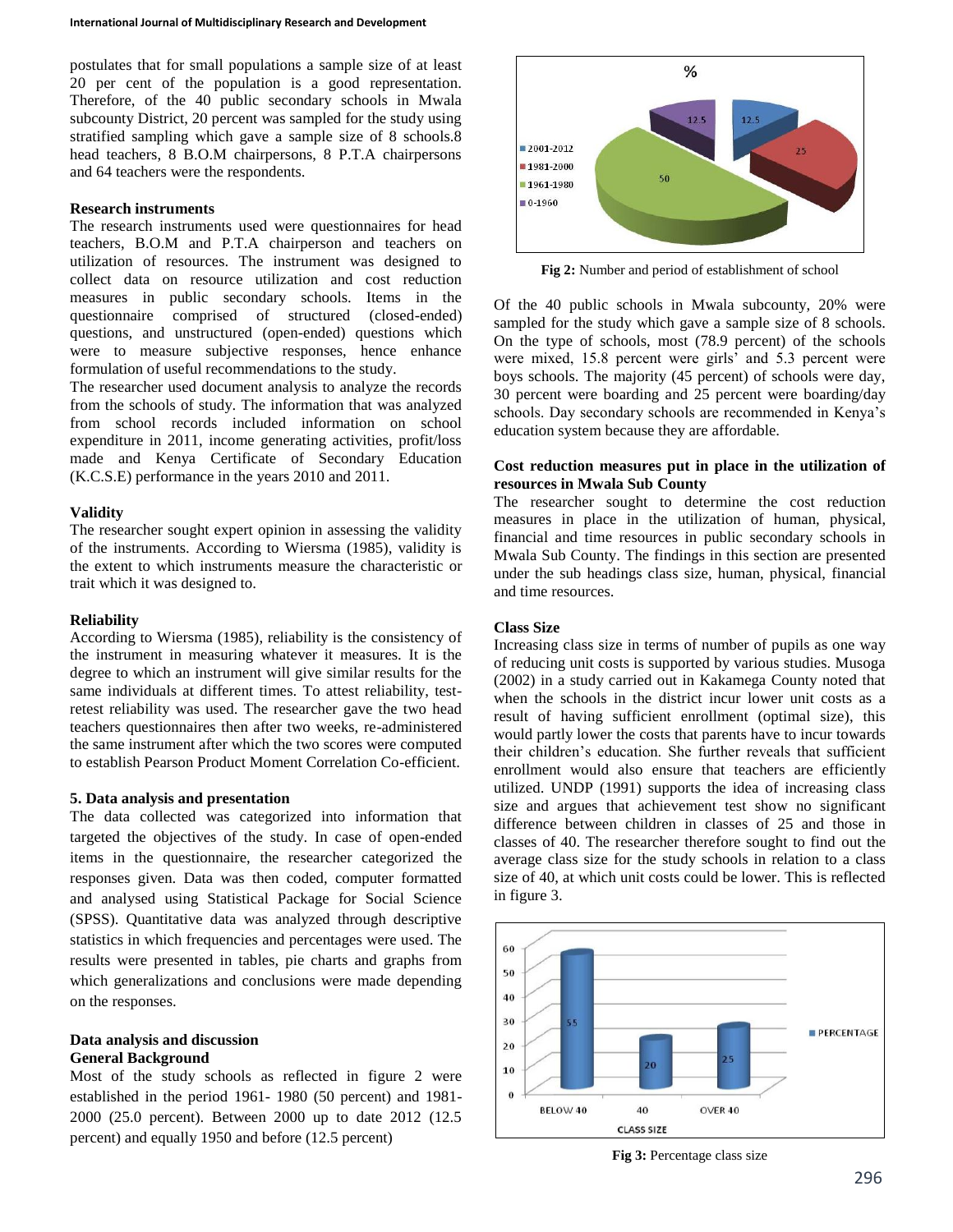postulates that for small populations a sample size of at least 20 per cent of the population is a good representation. Therefore, of the 40 public secondary schools in Mwala subcounty District, 20 percent was sampled for the study using stratified sampling which gave a sample size of 8 schools.8 head teachers, 8 B.O.M chairpersons, 8 P.T.A chairpersons and 64 teachers were the respondents.

#### **Research instruments**

The research instruments used were questionnaires for head teachers, B.O.M and P.T.A chairperson and teachers on utilization of resources. The instrument was designed to collect data on resource utilization and cost reduction measures in public secondary schools. Items in the questionnaire comprised of structured (closed-ended) questions, and unstructured (open-ended) questions which were to measure subjective responses, hence enhance formulation of useful recommendations to the study.

The researcher used document analysis to analyze the records from the schools of study. The information that was analyzed from school records included information on school expenditure in 2011, income generating activities, profit/loss made and Kenya Certificate of Secondary Education (K.C.S.E) performance in the years 2010 and 2011.

#### **Validity**

The researcher sought expert opinion in assessing the validity of the instruments. According to Wiersma (1985), validity is the extent to which instruments measure the characteristic or trait which it was designed to.

#### **Reliability**

According to Wiersma (1985), reliability is the consistency of the instrument in measuring whatever it measures. It is the degree to which an instrument will give similar results for the same individuals at different times. To attest reliability, testretest reliability was used. The researcher gave the two head teachers questionnaires then after two weeks, re-administered the same instrument after which the two scores were computed to establish Pearson Product Moment Correlation Co-efficient.

### **5. Data analysis and presentation**

The data collected was categorized into information that targeted the objectives of the study. In case of open-ended items in the questionnaire, the researcher categorized the responses given. Data was then coded, computer formatted and analysed using Statistical Package for Social Science (SPSS). Quantitative data was analyzed through descriptive statistics in which frequencies and percentages were used. The results were presented in tables, pie charts and graphs from which generalizations and conclusions were made depending on the responses.

## **Data analysis and discussion General Background**

Most of the study schools as reflected in figure 2 were established in the period 1961- 1980 (50 percent) and 1981- 2000 (25.0 percent). Between 2000 up to date 2012 (12.5 percent) and equally 1950 and before (12.5 percent)



**Fig 2:** Number and period of establishment of school

Of the 40 public schools in Mwala subcounty, 20% were sampled for the study which gave a sample size of 8 schools. On the type of schools, most (78.9 percent) of the schools were mixed, 15.8 percent were girls' and 5.3 percent were boys schools. The majority (45 percent) of schools were day, 30 percent were boarding and 25 percent were boarding/day schools. Day secondary schools are recommended in Kenya's education system because they are affordable.

## **Cost reduction measures put in place in the utilization of resources in Mwala Sub County**

The researcher sought to determine the cost reduction measures in place in the utilization of human, physical, financial and time resources in public secondary schools in Mwala Sub County. The findings in this section are presented under the sub headings class size, human, physical, financial and time resources.

### **Class Size**

Increasing class size in terms of number of pupils as one way of reducing unit costs is supported by various studies. Musoga (2002) in a study carried out in Kakamega County noted that when the schools in the district incur lower unit costs as a result of having sufficient enrollment (optimal size), this would partly lower the costs that parents have to incur towards their children's education. She further reveals that sufficient enrollment would also ensure that teachers are efficiently utilized. UNDP (1991) supports the idea of increasing class size and argues that achievement test show no significant difference between children in classes of 25 and those in classes of 40. The researcher therefore sought to find out the average class size for the study schools in relation to a class size of 40, at which unit costs could be lower. This is reflected in figure 3.



**Fig 3:** Percentage class size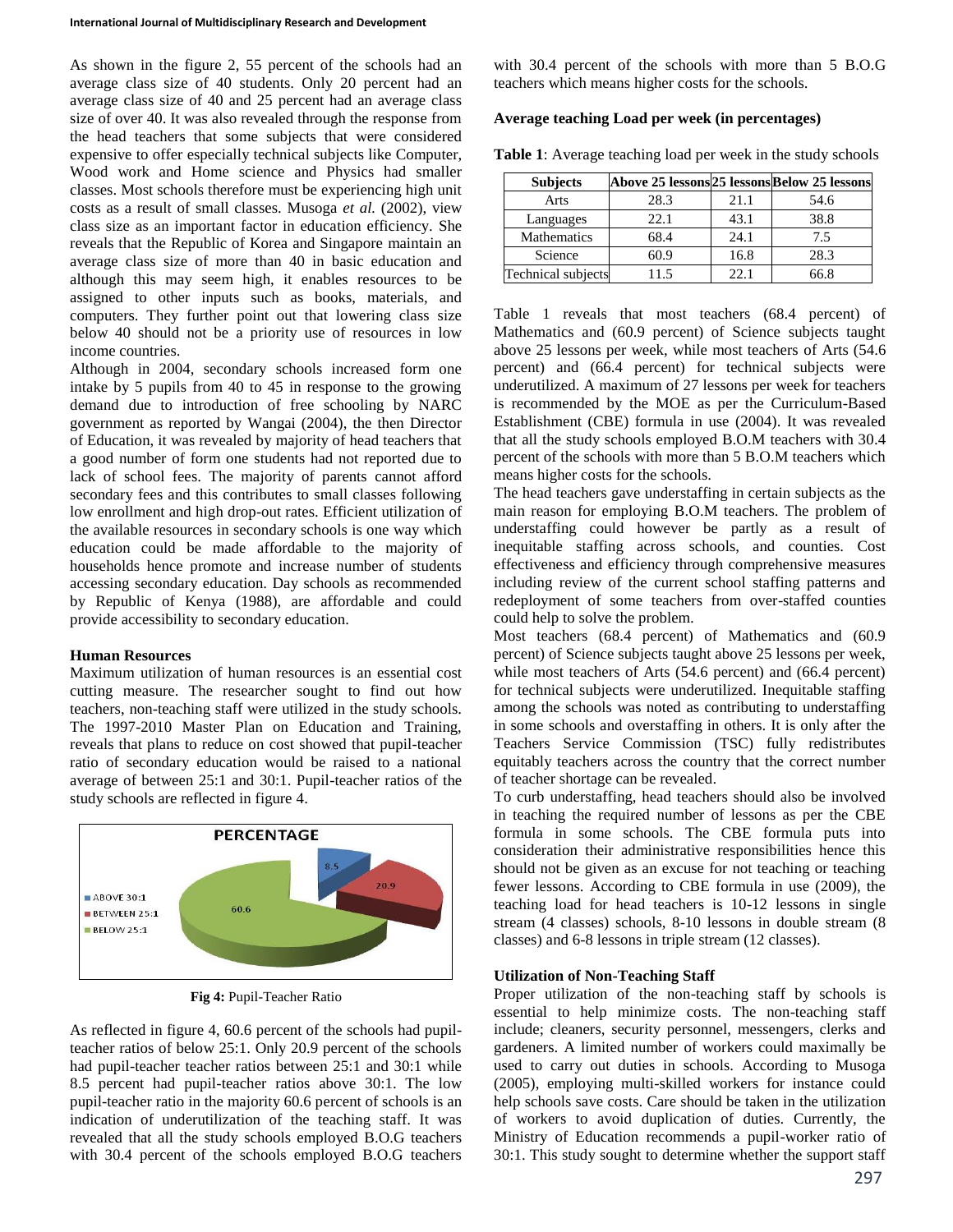As shown in the figure 2, 55 percent of the schools had an average class size of 40 students. Only 20 percent had an average class size of 40 and 25 percent had an average class size of over 40. It was also revealed through the response from the head teachers that some subjects that were considered expensive to offer especially technical subjects like Computer, Wood work and Home science and Physics had smaller classes. Most schools therefore must be experiencing high unit costs as a result of small classes. Musoga *et al.* (2002), view class size as an important factor in education efficiency. She reveals that the Republic of Korea and Singapore maintain an average class size of more than 40 in basic education and although this may seem high, it enables resources to be assigned to other inputs such as books, materials, and computers. They further point out that lowering class size below 40 should not be a priority use of resources in low income countries.

Although in 2004, secondary schools increased form one intake by 5 pupils from 40 to 45 in response to the growing demand due to introduction of free schooling by NARC government as reported by Wangai (2004), the then Director of Education, it was revealed by majority of head teachers that a good number of form one students had not reported due to lack of school fees. The majority of parents cannot afford secondary fees and this contributes to small classes following low enrollment and high drop-out rates. Efficient utilization of the available resources in secondary schools is one way which education could be made affordable to the majority of households hence promote and increase number of students accessing secondary education. Day schools as recommended by Republic of Kenya (1988), are affordable and could provide accessibility to secondary education.

## **Human Resources**

Maximum utilization of human resources is an essential cost cutting measure. The researcher sought to find out how teachers, non-teaching staff were utilized in the study schools. The 1997-2010 Master Plan on Education and Training, reveals that plans to reduce on cost showed that pupil-teacher ratio of secondary education would be raised to a national average of between 25:1 and 30:1. Pupil-teacher ratios of the study schools are reflected in figure 4.



**Fig 4:** Pupil-Teacher Ratio

As reflected in figure 4, 60.6 percent of the schools had pupilteacher ratios of below 25:1. Only 20.9 percent of the schools had pupil-teacher teacher ratios between 25:1 and 30:1 while 8.5 percent had pupil-teacher ratios above 30:1. The low pupil-teacher ratio in the majority 60.6 percent of schools is an indication of underutilization of the teaching staff. It was revealed that all the study schools employed B.O.G teachers with 30.4 percent of the schools employed B.O.G teachers with 30.4 percent of the schools with more than 5 B.O.G teachers which means higher costs for the schools.

# **Average teaching Load per week (in percentages)**

**Table 1**: Average teaching load per week in the study schools

| <b>Subjects</b>    | Above 25 lessons 25 lessons Below 25 lessons |      |      |
|--------------------|----------------------------------------------|------|------|
| Arts               | 28.3                                         | 21.1 | 54.6 |
| Languages          | 22.1                                         | 43.1 | 38.8 |
| <b>Mathematics</b> | 68.4                                         | 24.1 | 7.5  |
| Science            | 60.9                                         | 16.8 | 28.3 |
| Technical subjects | 115                                          | 22.1 | 66.8 |

Table 1 reveals that most teachers (68.4 percent) of Mathematics and (60.9 percent) of Science subjects taught above 25 lessons per week, while most teachers of Arts (54.6 percent) and (66.4 percent) for technical subjects were underutilized. A maximum of 27 lessons per week for teachers is recommended by the MOE as per the Curriculum-Based Establishment (CBE) formula in use (2004). It was revealed that all the study schools employed B.O.M teachers with 30.4 percent of the schools with more than 5 B.O.M teachers which means higher costs for the schools.

The head teachers gave understaffing in certain subjects as the main reason for employing B.O.M teachers. The problem of understaffing could however be partly as a result of inequitable staffing across schools, and counties. Cost effectiveness and efficiency through comprehensive measures including review of the current school staffing patterns and redeployment of some teachers from over-staffed counties could help to solve the problem.

Most teachers (68.4 percent) of Mathematics and (60.9 percent) of Science subjects taught above 25 lessons per week, while most teachers of Arts (54.6 percent) and (66.4 percent) for technical subjects were underutilized. Inequitable staffing among the schools was noted as contributing to understaffing in some schools and overstaffing in others. It is only after the Teachers Service Commission (TSC) fully redistributes equitably teachers across the country that the correct number of teacher shortage can be revealed.

To curb understaffing, head teachers should also be involved in teaching the required number of lessons as per the CBE formula in some schools. The CBE formula puts into consideration their administrative responsibilities hence this should not be given as an excuse for not teaching or teaching fewer lessons. According to CBE formula in use (2009), the teaching load for head teachers is 10-12 lessons in single stream (4 classes) schools, 8-10 lessons in double stream (8 classes) and 6-8 lessons in triple stream (12 classes).

## **Utilization of Non-Teaching Staff**

Proper utilization of the non-teaching staff by schools is essential to help minimize costs. The non-teaching staff include; cleaners, security personnel, messengers, clerks and gardeners. A limited number of workers could maximally be used to carry out duties in schools. According to Musoga (2005), employing multi-skilled workers for instance could help schools save costs. Care should be taken in the utilization of workers to avoid duplication of duties. Currently, the Ministry of Education recommends a pupil-worker ratio of 30:1. This study sought to determine whether the support staff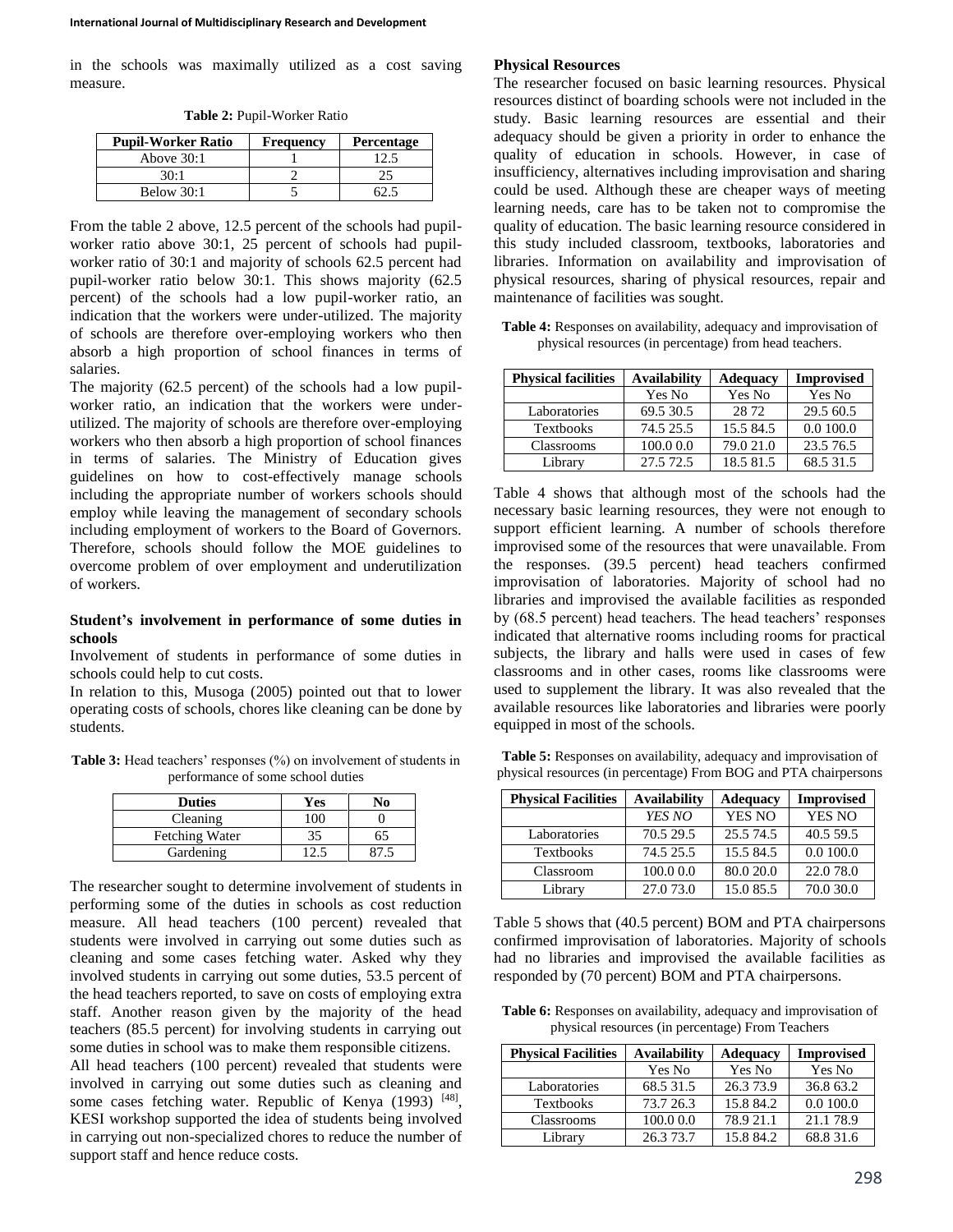in the schools was maximally utilized as a cost saving measure.

**Table 2:** Pupil-Worker Ratio

| <b>Pupil-Worker Ratio</b> | <b>Frequency</b> | <b>Percentage</b> |
|---------------------------|------------------|-------------------|
| Above $30:1$              |                  |                   |
| 30:1                      |                  |                   |
| Below 30:1                |                  |                   |

From the table 2 above, 12.5 percent of the schools had pupilworker ratio above 30:1, 25 percent of schools had pupilworker ratio of 30:1 and majority of schools 62.5 percent had pupil-worker ratio below 30:1. This shows majority (62.5 percent) of the schools had a low pupil-worker ratio, an indication that the workers were under-utilized. The majority of schools are therefore over-employing workers who then absorb a high proportion of school finances in terms of salaries.

The majority (62.5 percent) of the schools had a low pupilworker ratio, an indication that the workers were underutilized. The majority of schools are therefore over-employing workers who then absorb a high proportion of school finances in terms of salaries. The Ministry of Education gives guidelines on how to cost-effectively manage schools including the appropriate number of workers schools should employ while leaving the management of secondary schools including employment of workers to the Board of Governors. Therefore, schools should follow the MOE guidelines to overcome problem of over employment and underutilization of workers.

### **Student's involvement in performance of some duties in schools**

Involvement of students in performance of some duties in schools could help to cut costs.

In relation to this, Musoga (2005) pointed out that to lower operating costs of schools, chores like cleaning can be done by students.

Table 3: Head teachers' responses (%) on involvement of students in performance of some school duties

| <b>Duties</b>  | Yes | No- |
|----------------|-----|-----|
| Cleaning       | .00 |     |
| Fetching Water | 35  | 65  |
| Gardening      |     |     |

The researcher sought to determine involvement of students in performing some of the duties in schools as cost reduction measure. All head teachers (100 percent) revealed that students were involved in carrying out some duties such as cleaning and some cases fetching water. Asked why they involved students in carrying out some duties, 53.5 percent of the head teachers reported, to save on costs of employing extra staff. Another reason given by the majority of the head teachers (85.5 percent) for involving students in carrying out some duties in school was to make them responsible citizens.

All head teachers (100 percent) revealed that students were involved in carrying out some duties such as cleaning and some cases fetching water. Republic of Kenya (1993) [48], KESI workshop supported the idea of students being involved in carrying out non-specialized chores to reduce the number of support staff and hence reduce costs.

#### **Physical Resources**

The researcher focused on basic learning resources. Physical resources distinct of boarding schools were not included in the study. Basic learning resources are essential and their adequacy should be given a priority in order to enhance the quality of education in schools. However, in case of insufficiency, alternatives including improvisation and sharing could be used. Although these are cheaper ways of meeting learning needs, care has to be taken not to compromise the quality of education. The basic learning resource considered in this study included classroom, textbooks, laboratories and libraries. Information on availability and improvisation of physical resources, sharing of physical resources, repair and maintenance of facilities was sought.

**Table 4:** Responses on availability, adequacy and improvisation of physical resources (in percentage) from head teachers.

| <b>Physical facilities</b> | <b>Availability</b> | <b>Adequacy</b> | <b>Improvised</b> |
|----------------------------|---------------------|-----------------|-------------------|
|                            | Yes No              | Yes No          | Yes No            |
| Laboratories               | 69.5 30.5           | 28.72           | 29.5 60.5         |
| <b>Textbooks</b>           | 74.5 25.5           | 15.584.5        | 0.0 100.0         |
| Classrooms                 | 100.0 0.0           | 79.0 21.0       | 23.5 76.5         |
| Library                    | 27.5 72.5           | 18.5 81.5       | 68.5 31.5         |

Table 4 shows that although most of the schools had the necessary basic learning resources, they were not enough to support efficient learning. A number of schools therefore improvised some of the resources that were unavailable. From the responses. (39.5 percent) head teachers confirmed improvisation of laboratories. Majority of school had no libraries and improvised the available facilities as responded by (68.5 percent) head teachers. The head teachers' responses indicated that alternative rooms including rooms for practical subjects, the library and halls were used in cases of few classrooms and in other cases, rooms like classrooms were used to supplement the library. It was also revealed that the available resources like laboratories and libraries were poorly equipped in most of the schools.

**Table 5:** Responses on availability, adequacy and improvisation of physical resources (in percentage) From BOG and PTA chairpersons

| <b>Physical Facilities</b> | <b>Availability</b> | <b>Adequacy</b> | <b>Improvised</b> |
|----------------------------|---------------------|-----------------|-------------------|
|                            | YES NO              | YES NO          | YES NO            |
| Laboratories               | 70.5 29.5           | 25.5 74.5       | 40.5 59.5         |
| <b>Textbooks</b>           | 74.5 25.5           | 15.5 84.5       | 0.0 100.0         |
| Classroom                  | 100.0 0.0           | 80.0 20.0       | 22.0 78.0         |
| Library                    | 27.073.0            | 15.0 85.5       | 70.0 30.0         |

Table 5 shows that (40.5 percent) BOM and PTA chairpersons confirmed improvisation of laboratories. Majority of schools had no libraries and improvised the available facilities as responded by (70 percent) BOM and PTA chairpersons.

**Table 6:** Responses on availability, adequacy and improvisation of physical resources (in percentage) From Teachers

| <b>Physical Facilities</b> | <b>Availability</b> | <b>Adequacy</b> | <b>Improvised</b> |
|----------------------------|---------------------|-----------------|-------------------|
|                            | Yes No              | Yes No          | Yes No            |
| Laboratories               | 68.5 31.5           | 26.373.9        | 36.8 63.2         |
| <b>Textbooks</b>           | 73.7 26.3           | 15.8 84.2       | 0.0 100.0         |
| Classrooms                 | 100.00.0            | 78.9 21.1       | 21.178.9          |
| Librarv                    | 26.3 73.7           | 15.8 84.2       | 68.8 31.6         |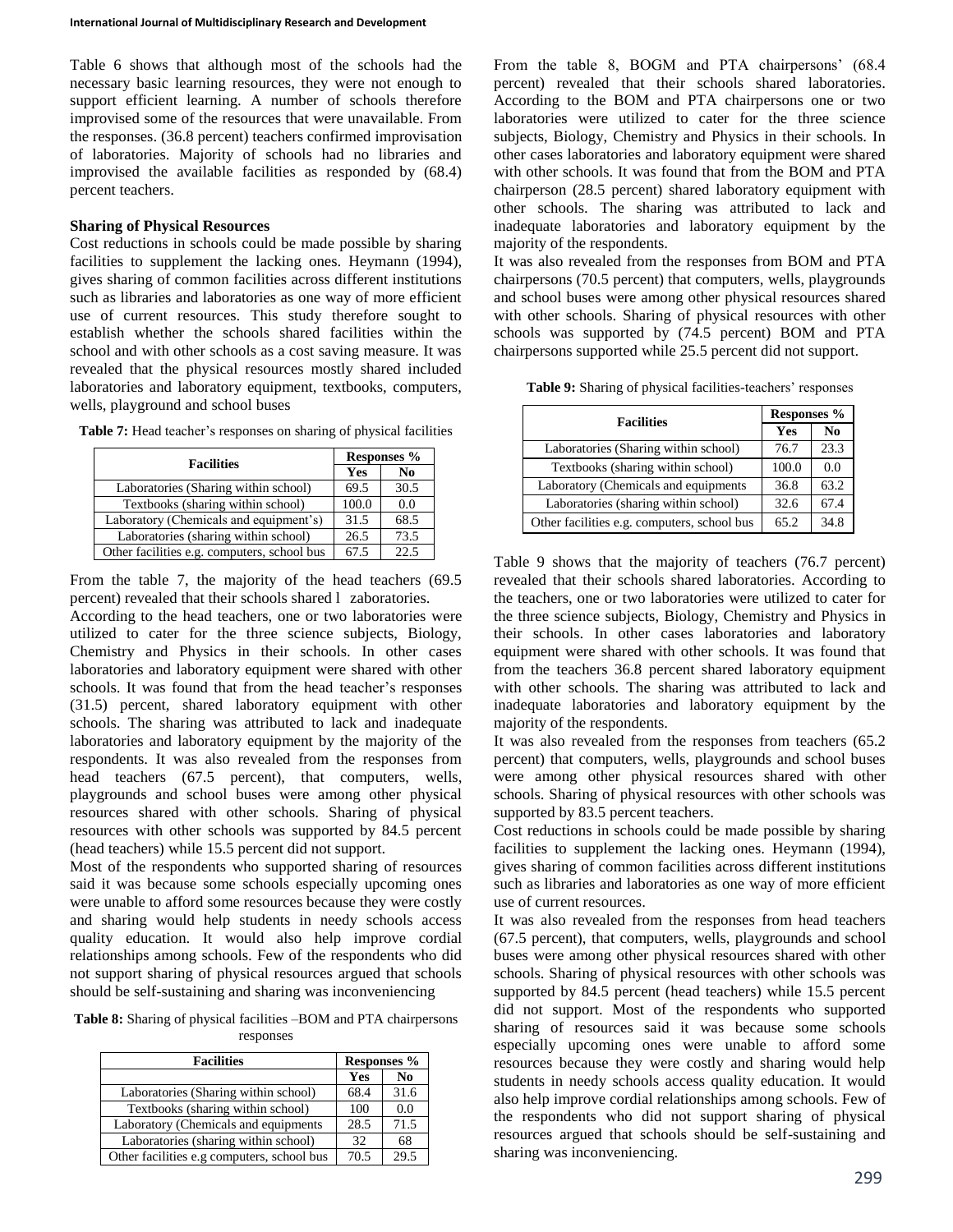Table 6 shows that although most of the schools had the necessary basic learning resources, they were not enough to support efficient learning. A number of schools therefore improvised some of the resources that were unavailable. From the responses. (36.8 percent) teachers confirmed improvisation of laboratories. Majority of schools had no libraries and improvised the available facilities as responded by (68.4) percent teachers.

## **Sharing of Physical Resources**

Cost reductions in schools could be made possible by sharing facilities to supplement the lacking ones. Heymann (1994), gives sharing of common facilities across different institutions such as libraries and laboratories as one way of more efficient use of current resources. This study therefore sought to establish whether the schools shared facilities within the school and with other schools as a cost saving measure. It was revealed that the physical resources mostly shared included laboratories and laboratory equipment, textbooks, computers, wells, playground and school buses

|                                             | Responses % |                |
|---------------------------------------------|-------------|----------------|
| <b>Facilities</b>                           | Yes         | N <sub>0</sub> |
| Laboratories (Sharing within school)        | 69.5        | 30.5           |
| Textbooks (sharing within school)           | 100.0       | 0.0            |
| Laboratory (Chemicals and equipment's)      | 31.5        | 68.5           |
| Laboratories (sharing within school)        | 26.5        | 73.5           |
| Other facilities e.g. computers, school bus | 67.5        | 22.5           |

**Table 7:** Head teacher's responses on sharing of physical facilities

From the table 7, the majority of the head teachers (69.5 percent) revealed that their schools shared l zaboratories.

According to the head teachers, one or two laboratories were utilized to cater for the three science subjects, Biology, Chemistry and Physics in their schools. In other cases laboratories and laboratory equipment were shared with other schools. It was found that from the head teacher's responses (31.5) percent, shared laboratory equipment with other schools. The sharing was attributed to lack and inadequate laboratories and laboratory equipment by the majority of the respondents. It was also revealed from the responses from head teachers (67.5 percent), that computers, wells, playgrounds and school buses were among other physical resources shared with other schools. Sharing of physical resources with other schools was supported by 84.5 percent (head teachers) while 15.5 percent did not support.

Most of the respondents who supported sharing of resources said it was because some schools especially upcoming ones were unable to afford some resources because they were costly and sharing would help students in needy schools access quality education. It would also help improve cordial relationships among schools. Few of the respondents who did not support sharing of physical resources argued that schools should be self-sustaining and sharing was inconveniencing

**Table 8:** Sharing of physical facilities –BOM and PTA chairpersons responses

| <b>Facilities</b>                          | <b>Responses</b> % |                |
|--------------------------------------------|--------------------|----------------|
|                                            | Yes                | N <sub>0</sub> |
| Laboratories (Sharing within school)       | 68.4               | 31.6           |
| Textbooks (sharing within school)          | 100                | 0.0            |
| Laboratory (Chemicals and equipments       | 28.5               | 71.5           |
| Laboratories (sharing within school)       | 32                 | 68             |
| Other facilities e.g computers, school bus | 70.5               | 29.5           |

From the table 8, BOGM and PTA chairpersons' (68.4 percent) revealed that their schools shared laboratories. According to the BOM and PTA chairpersons one or two laboratories were utilized to cater for the three science subjects, Biology, Chemistry and Physics in their schools. In other cases laboratories and laboratory equipment were shared with other schools. It was found that from the BOM and PTA chairperson (28.5 percent) shared laboratory equipment with other schools. The sharing was attributed to lack and inadequate laboratories and laboratory equipment by the majority of the respondents.

It was also revealed from the responses from BOM and PTA chairpersons (70.5 percent) that computers, wells, playgrounds and school buses were among other physical resources shared with other schools. Sharing of physical resources with other schools was supported by (74.5 percent) BOM and PTA chairpersons supported while 25.5 percent did not support.

**Table 9:** Sharing of physical facilities-teachers' responses

| <b>Facilities</b>                           | Responses % |                |
|---------------------------------------------|-------------|----------------|
|                                             | Yes         | N <sub>0</sub> |
| Laboratories (Sharing within school)        | 76.7        | 23.3           |
| Textbooks (sharing within school)           | 100.0       | 0.0            |
| Laboratory (Chemicals and equipments        | 36.8        | 63.2           |
| Laboratories (sharing within school)        | 32.6        | 67.4           |
| Other facilities e.g. computers, school bus | 65.2        | 34.8           |

Table 9 shows that the majority of teachers (76.7 percent) revealed that their schools shared laboratories. According to the teachers, one or two laboratories were utilized to cater for the three science subjects, Biology, Chemistry and Physics in their schools. In other cases laboratories and laboratory equipment were shared with other schools. It was found that from the teachers 36.8 percent shared laboratory equipment with other schools. The sharing was attributed to lack and inadequate laboratories and laboratory equipment by the majority of the respondents.

It was also revealed from the responses from teachers (65.2 percent) that computers, wells, playgrounds and school buses were among other physical resources shared with other schools. Sharing of physical resources with other schools was supported by 83.5 percent teachers.

Cost reductions in schools could be made possible by sharing facilities to supplement the lacking ones. Heymann (1994), gives sharing of common facilities across different institutions such as libraries and laboratories as one way of more efficient use of current resources.

It was also revealed from the responses from head teachers (67.5 percent), that computers, wells, playgrounds and school buses were among other physical resources shared with other schools. Sharing of physical resources with other schools was supported by 84.5 percent (head teachers) while 15.5 percent did not support. Most of the respondents who supported sharing of resources said it was because some schools especially upcoming ones were unable to afford some resources because they were costly and sharing would help students in needy schools access quality education. It would also help improve cordial relationships among schools. Few of the respondents who did not support sharing of physical resources argued that schools should be self-sustaining and sharing was inconveniencing.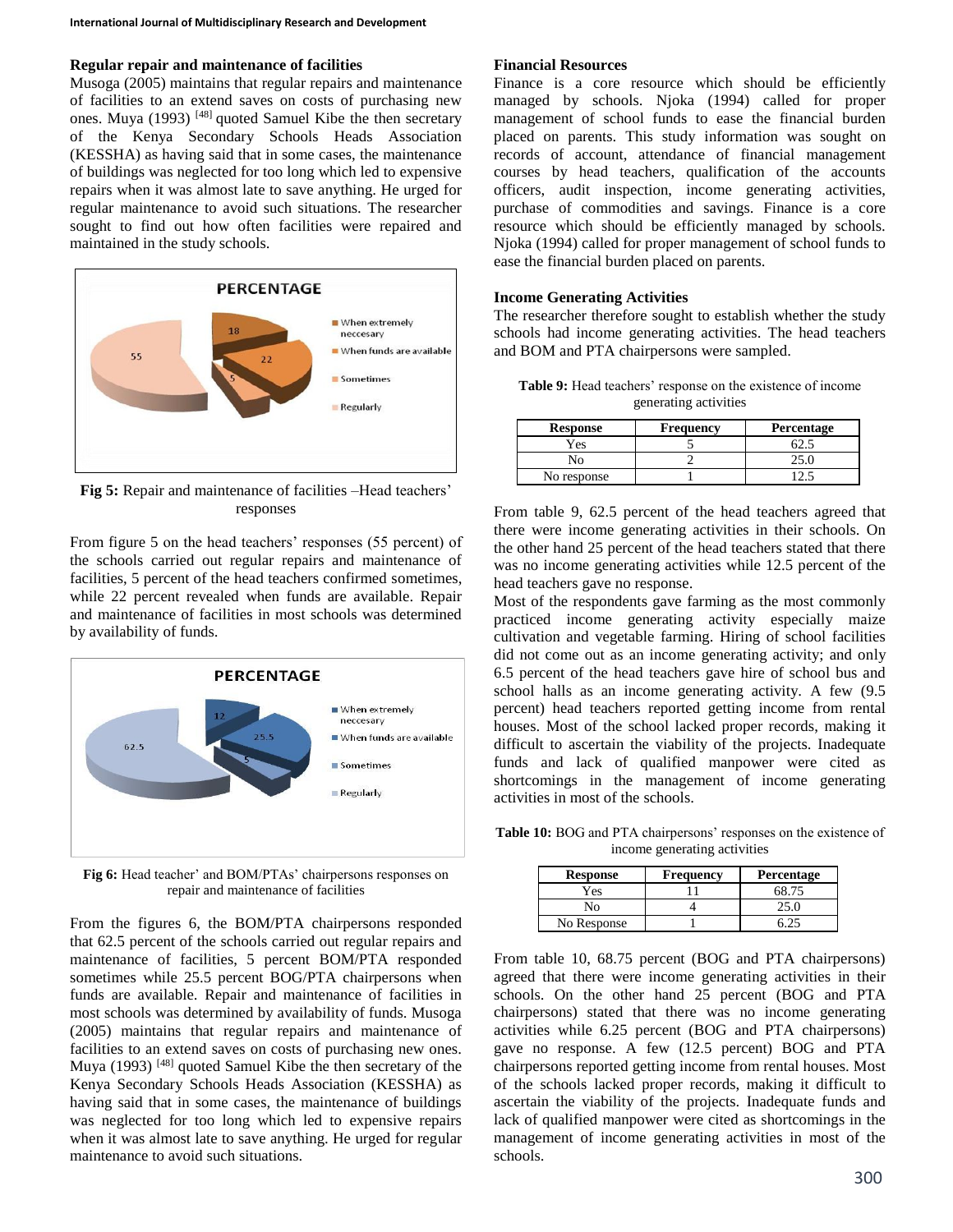# **Regular repair and maintenance of facilities**

Musoga (2005) maintains that regular repairs and maintenance of facilities to an extend saves on costs of purchasing new ones. Muya (1993) [48] quoted Samuel Kibe the then secretary of the Kenya Secondary Schools Heads Association (KESSHA) as having said that in some cases, the maintenance of buildings was neglected for too long which led to expensive repairs when it was almost late to save anything. He urged for regular maintenance to avoid such situations. The researcher sought to find out how often facilities were repaired and maintained in the study schools.



**Fig 5:** Repair and maintenance of facilities –Head teachers' responses

From figure 5 on the head teachers' responses (55 percent) of the schools carried out regular repairs and maintenance of facilities, 5 percent of the head teachers confirmed sometimes, while 22 percent revealed when funds are available. Repair and maintenance of facilities in most schools was determined by availability of funds.



**Fig 6:** Head teacher' and BOM/PTAs' chairpersons responses on repair and maintenance of facilities

From the figures 6, the BOM/PTA chairpersons responded that 62.5 percent of the schools carried out regular repairs and maintenance of facilities, 5 percent BOM/PTA responded sometimes while 25.5 percent BOG/PTA chairpersons when funds are available. Repair and maintenance of facilities in most schools was determined by availability of funds. Musoga (2005) maintains that regular repairs and maintenance of facilities to an extend saves on costs of purchasing new ones. Muya (1993)<sup>[48]</sup> quoted Samuel Kibe the then secretary of the Kenya Secondary Schools Heads Association (KESSHA) as having said that in some cases, the maintenance of buildings was neglected for too long which led to expensive repairs when it was almost late to save anything. He urged for regular maintenance to avoid such situations.

### **Financial Resources**

Finance is a core resource which should be efficiently managed by schools. Njoka (1994) called for proper management of school funds to ease the financial burden placed on parents. This study information was sought on records of account, attendance of financial management courses by head teachers, qualification of the accounts officers, audit inspection, income generating activities, purchase of commodities and savings. Finance is a core resource which should be efficiently managed by schools. Njoka (1994) called for proper management of school funds to ease the financial burden placed on parents.

### **Income Generating Activities**

The researcher therefore sought to establish whether the study schools had income generating activities. The head teachers and BOM and PTA chairpersons were sampled.

| <b>Table 9:</b> Head teachers' response on the existence of income |                       |  |
|--------------------------------------------------------------------|-----------------------|--|
|                                                                    | generating activities |  |

| <b>Response</b> | Frequency | Percentage |
|-----------------|-----------|------------|
| Yes             |           |            |
|                 |           |            |
| No response     |           |            |

From table 9, 62.5 percent of the head teachers agreed that there were income generating activities in their schools. On the other hand 25 percent of the head teachers stated that there was no income generating activities while 12.5 percent of the head teachers gave no response.

Most of the respondents gave farming as the most commonly practiced income generating activity especially maize cultivation and vegetable farming. Hiring of school facilities did not come out as an income generating activity; and only 6.5 percent of the head teachers gave hire of school bus and school halls as an income generating activity. A few (9.5 percent) head teachers reported getting income from rental houses. Most of the school lacked proper records, making it difficult to ascertain the viability of the projects. Inadequate funds and lack of qualified manpower were cited as shortcomings in the management of income generating activities in most of the schools.

**Table 10:** BOG and PTA chairpersons' responses on the existence of income generating activities

| <b>Response</b> | <b>Frequency</b> | <b>Percentage</b> |
|-----------------|------------------|-------------------|
| Yes             |                  | 68.75             |
| Nο              |                  | 25.0              |
| No Response     |                  |                   |

From table 10, 68.75 percent (BOG and PTA chairpersons) agreed that there were income generating activities in their schools. On the other hand 25 percent (BOG and PTA chairpersons) stated that there was no income generating activities while 6.25 percent (BOG and PTA chairpersons) gave no response. A few (12.5 percent) BOG and PTA chairpersons reported getting income from rental houses. Most of the schools lacked proper records, making it difficult to ascertain the viability of the projects. Inadequate funds and lack of qualified manpower were cited as shortcomings in the management of income generating activities in most of the schools.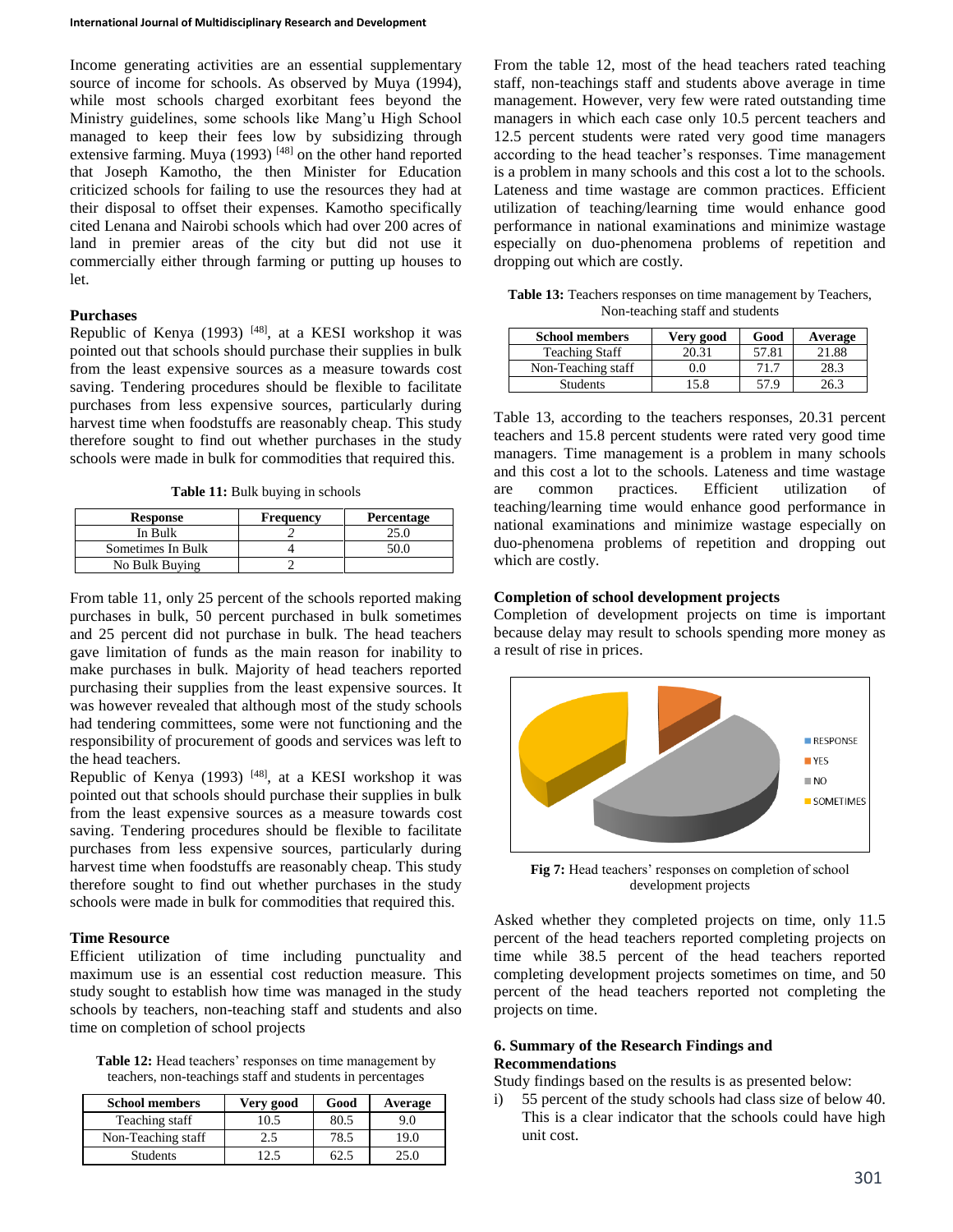Income generating activities are an essential supplementary source of income for schools. As observed by Muya (1994), while most schools charged exorbitant fees beyond the Ministry guidelines, some schools like Mang'u High School managed to keep their fees low by subsidizing through extensive farming. Muya (1993)<sup>[48]</sup> on the other hand reported that Joseph Kamotho, the then Minister for Education criticized schools for failing to use the resources they had at their disposal to offset their expenses. Kamotho specifically cited Lenana and Nairobi schools which had over 200 acres of land in premier areas of the city but did not use it commercially either through farming or putting up houses to let.

## **Purchases**

Republic of Kenya (1993) [48], at a KESI workshop it was pointed out that schools should purchase their supplies in bulk from the least expensive sources as a measure towards cost saving. Tendering procedures should be flexible to facilitate purchases from less expensive sources, particularly during harvest time when foodstuffs are reasonably cheap. This study therefore sought to find out whether purchases in the study schools were made in bulk for commodities that required this.

Table 11: Bulk buying in schools

| <b>Response</b>   | <b>Frequency</b> | <b>Percentage</b> |
|-------------------|------------------|-------------------|
| In Bulk           |                  |                   |
| Sometimes In Bulk |                  |                   |
| No Bulk Buying    |                  |                   |

From table 11, only 25 percent of the schools reported making purchases in bulk, 50 percent purchased in bulk sometimes and 25 percent did not purchase in bulk. The head teachers gave limitation of funds as the main reason for inability to make purchases in bulk. Majority of head teachers reported purchasing their supplies from the least expensive sources. It was however revealed that although most of the study schools had tendering committees, some were not functioning and the responsibility of procurement of goods and services was left to the head teachers.

Republic of Kenya (1993) <sup>[48]</sup>, at a KESI workshop it was pointed out that schools should purchase their supplies in bulk from the least expensive sources as a measure towards cost saving. Tendering procedures should be flexible to facilitate purchases from less expensive sources, particularly during harvest time when foodstuffs are reasonably cheap. This study therefore sought to find out whether purchases in the study schools were made in bulk for commodities that required this.

## **Time Resource**

Efficient utilization of time including punctuality and maximum use is an essential cost reduction measure. This study sought to establish how time was managed in the study schools by teachers, non-teaching staff and students and also time on completion of school projects

Table 12: Head teachers' responses on time management by teachers, non-teachings staff and students in percentages

| <b>School members</b> | Very good | Good | Average |
|-----------------------|-----------|------|---------|
| Teaching staff        | 10.5      | 80.5 | 9.0     |
| Non-Teaching staff    | 2.5       | 78.5 | 19.0    |
| <b>Students</b>       |           | 62.5 | 25.0    |

From the table 12, most of the head teachers rated teaching staff, non-teachings staff and students above average in time management. However, very few were rated outstanding time managers in which each case only 10.5 percent teachers and 12.5 percent students were rated very good time managers according to the head teacher's responses. Time management is a problem in many schools and this cost a lot to the schools. Lateness and time wastage are common practices. Efficient utilization of teaching/learning time would enhance good performance in national examinations and minimize wastage especially on duo-phenomena problems of repetition and dropping out which are costly.

**Table 13:** Teachers responses on time management by Teachers, Non-teaching staff and students

| <b>School members</b> | Very good | Good  | Average |
|-----------------------|-----------|-------|---------|
| <b>Teaching Staff</b> | 20.31     | 57.81 | 21.88   |
| Non-Teaching staff    | 9.0       | 71.7  | 28.3    |
| <b>Students</b>       | 15.8      | 57 Q  | 26.3    |

Table 13, according to the teachers responses, 20.31 percent teachers and 15.8 percent students were rated very good time managers. Time management is a problem in many schools and this cost a lot to the schools. Lateness and time wastage are common practices. Efficient utilization of teaching/learning time would enhance good performance in national examinations and minimize wastage especially on duo-phenomena problems of repetition and dropping out which are costly.

# **Completion of school development projects**

Completion of development projects on time is important because delay may result to schools spending more money as a result of rise in prices.



**Fig 7:** Head teachers' responses on completion of school development projects

Asked whether they completed projects on time, only 11.5 percent of the head teachers reported completing projects on time while 38.5 percent of the head teachers reported completing development projects sometimes on time, and 50 percent of the head teachers reported not completing the projects on time.

# **6. Summary of the Research Findings and Recommendations**

Study findings based on the results is as presented below:

i) 55 percent of the study schools had class size of below 40. This is a clear indicator that the schools could have high unit cost.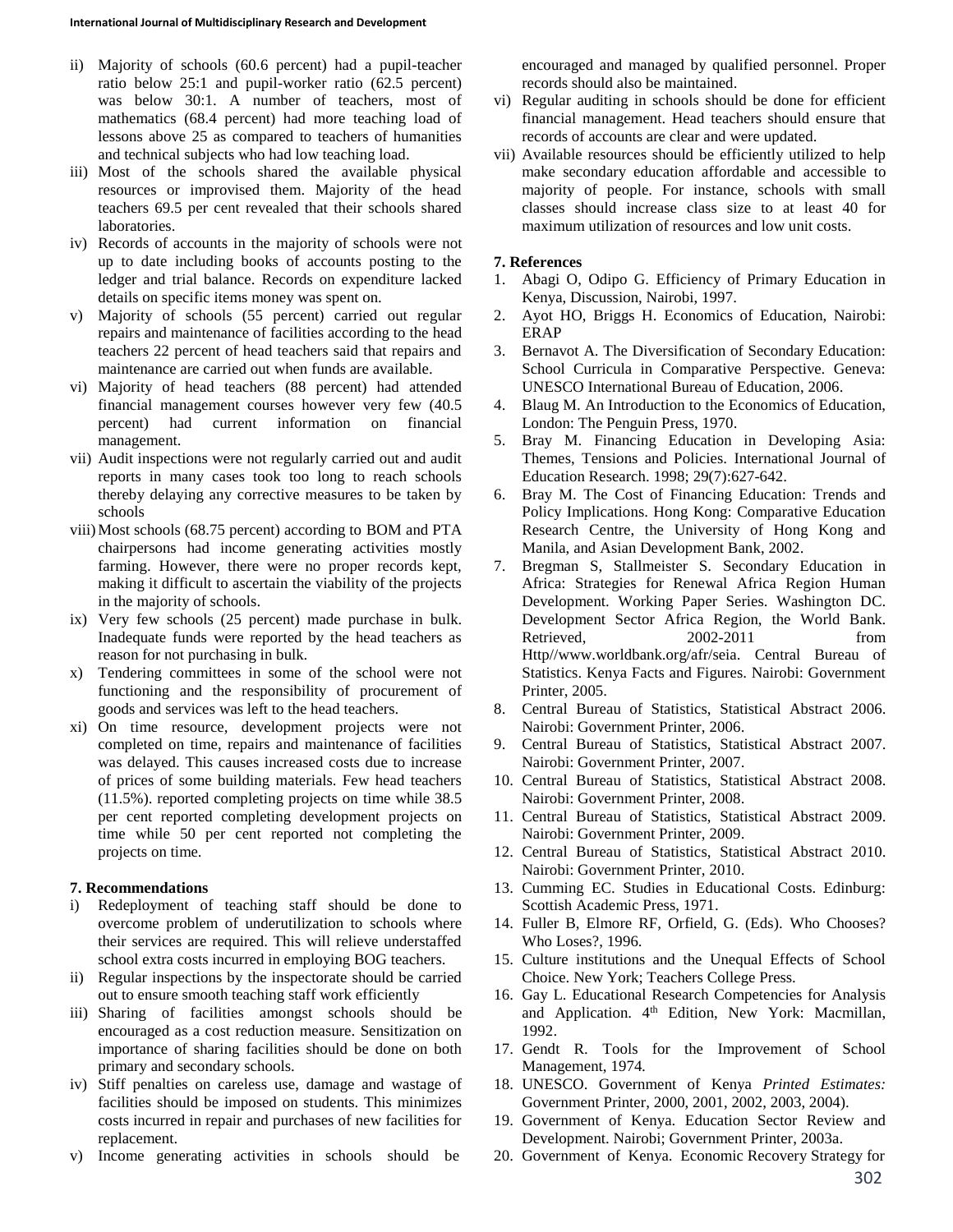- ii) Majority of schools (60.6 percent) had a pupil-teacher ratio below 25:1 and pupil-worker ratio (62.5 percent) was below 30:1. A number of teachers, most of mathematics (68.4 percent) had more teaching load of lessons above 25 as compared to teachers of humanities and technical subjects who had low teaching load.
- iii) Most of the schools shared the available physical resources or improvised them. Majority of the head teachers 69.5 per cent revealed that their schools shared laboratories.
- iv) Records of accounts in the majority of schools were not up to date including books of accounts posting to the ledger and trial balance. Records on expenditure lacked details on specific items money was spent on.
- v) Majority of schools (55 percent) carried out regular repairs and maintenance of facilities according to the head teachers 22 percent of head teachers said that repairs and maintenance are carried out when funds are available.
- vi) Majority of head teachers (88 percent) had attended financial management courses however very few (40.5 percent) had current information on financial management.
- vii) Audit inspections were not regularly carried out and audit reports in many cases took too long to reach schools thereby delaying any corrective measures to be taken by schools
- viii)Most schools (68.75 percent) according to BOM and PTA chairpersons had income generating activities mostly farming. However, there were no proper records kept, making it difficult to ascertain the viability of the projects in the majority of schools.
- ix) Very few schools (25 percent) made purchase in bulk. Inadequate funds were reported by the head teachers as reason for not purchasing in bulk.
- x) Tendering committees in some of the school were not functioning and the responsibility of procurement of goods and services was left to the head teachers.
- xi) On time resource, development projects were not completed on time, repairs and maintenance of facilities was delayed. This causes increased costs due to increase of prices of some building materials. Few head teachers (11.5%). reported completing projects on time while 38.5 per cent reported completing development projects on time while 50 per cent reported not completing the projects on time.

# **7. Recommendations**

- i) Redeployment of teaching staff should be done to overcome problem of underutilization to schools where their services are required. This will relieve understaffed school extra costs incurred in employing BOG teachers.
- ii) Regular inspections by the inspectorate should be carried out to ensure smooth teaching staff work efficiently
- iii) Sharing of facilities amongst schools should be encouraged as a cost reduction measure. Sensitization on importance of sharing facilities should be done on both primary and secondary schools.
- iv) Stiff penalties on careless use, damage and wastage of facilities should be imposed on students. This minimizes costs incurred in repair and purchases of new facilities for replacement.
- v) Income generating activities in schools should be

encouraged and managed by qualified personnel. Proper records should also be maintained.

- vi) Regular auditing in schools should be done for efficient financial management. Head teachers should ensure that records of accounts are clear and were updated.
- vii) Available resources should be efficiently utilized to help make secondary education affordable and accessible to majority of people. For instance, schools with small classes should increase class size to at least 40 for maximum utilization of resources and low unit costs.

# **7. References**

- 1. Abagi O, Odipo G. Efficiency of Primary Education in Kenya, Discussion, Nairobi, 1997.
- 2. Ayot HO, Briggs H. Economics of Education, Nairobi: ERAP
- 3. Bernavot A. The Diversification of Secondary Education: School Curricula in Comparative Perspective. Geneva: UNESCO International Bureau of Education, 2006.
- 4. Blaug M. An Introduction to the Economics of Education, London: The Penguin Press, 1970.
- 5. Bray M. Financing Education in Developing Asia: Themes, Tensions and Policies. International Journal of Education Research. 1998; 29(7):627-642.
- 6. Bray M. The Cost of Financing Education: Trends and Policy Implications. Hong Kong: Comparative Education Research Centre, the University of Hong Kong and Manila, and Asian Development Bank, 2002.
- 7. Bregman S, Stallmeister S. Secondary Education in Africa: Strategies for Renewal Africa Region Human Development. Working Paper Series. Washington DC. Development Sector Africa Region, the World Bank. Retrieved, 2002-2011 from Http//www.worldbank.org/afr/seia. Central Bureau of Statistics. Kenya Facts and Figures. Nairobi: Government Printer, 2005.
- 8. Central Bureau of Statistics, Statistical Abstract 2006. Nairobi: Government Printer, 2006.
- 9. Central Bureau of Statistics, Statistical Abstract 2007. Nairobi: Government Printer, 2007.
- 10. Central Bureau of Statistics, Statistical Abstract 2008. Nairobi: Government Printer, 2008.
- 11. Central Bureau of Statistics, Statistical Abstract 2009. Nairobi: Government Printer, 2009.
- 12. Central Bureau of Statistics, Statistical Abstract 2010. Nairobi: Government Printer, 2010.
- 13. Cumming EC. Studies in Educational Costs. Edinburg: Scottish Academic Press, 1971.
- 14. Fuller B, Elmore RF, Orfield, G. (Eds). Who Chooses? Who Loses?, 1996.
- 15. Culture institutions and the Unequal Effects of School Choice. New York; Teachers College Press.
- 16. Gay L. Educational Research Competencies for Analysis and Application. 4<sup>th</sup> Edition, New York: Macmillan, 1992.
- 17. Gendt R. Tools for the Improvement of School Management, 1974*.*
- 18. UNESCO. Government of Kenya *Printed Estimates:* Government Printer, 2000, 2001, 2002, 2003, 2004).
- 19. Government of Kenya. Education Sector Review and Development. Nairobi; Government Printer, 2003a.
- 20. Government of Kenya. Economic Recovery Strategy for